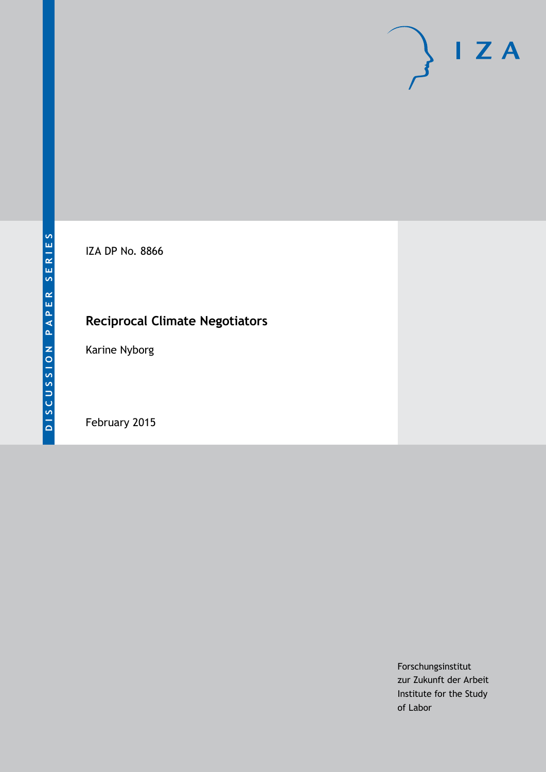# $I Z A$

IZA DP No. 8866

## **Reciprocal Climate Negotiators**

Karine Nyborg

February 2015

Forschungsinstitut zur Zukunft der Arbeit Institute for the Study of Labor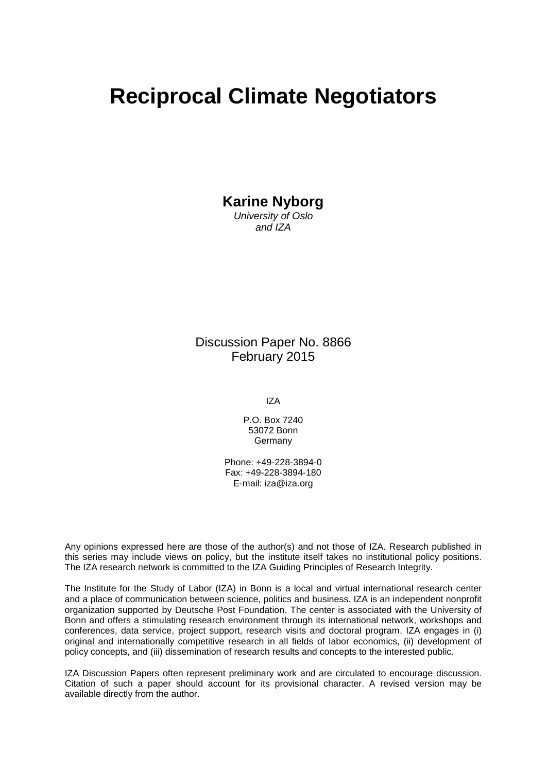## **Reciprocal Climate Negotiators**

**Karine Nyborg**

*University of Oslo and IZA*

Discussion Paper No. 8866 February 2015

IZA

P.O. Box 7240 53072 Bonn Germany

Phone: +49-228-3894-0 Fax: +49-228-3894-180 E-mail: [iza@iza.org](mailto:iza@iza.org)

Any opinions expressed here are those of the author(s) and not those of IZA. Research published in this series may include views on policy, but the institute itself takes no institutional policy positions. The IZA research network is committed to the IZA Guiding Principles of Research Integrity.

The Institute for the Study of Labor (IZA) in Bonn is a local and virtual international research center and a place of communication between science, politics and business. IZA is an independent nonprofit organization supported by Deutsche Post Foundation. The center is associated with the University of Bonn and offers a stimulating research environment through its international network, workshops and conferences, data service, project support, research visits and doctoral program. IZA engages in (i) original and internationally competitive research in all fields of labor economics, (ii) development of policy concepts, and (iii) dissemination of research results and concepts to the interested public.

<span id="page-1-0"></span>IZA Discussion Papers often represent preliminary work and are circulated to encourage discussion. Citation of such a paper should account for its provisional character. A revised version may be available directly from the author.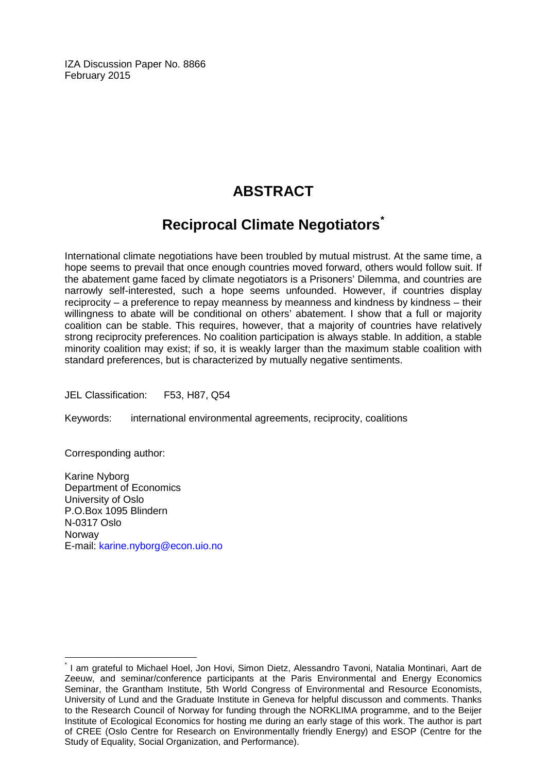IZA Discussion Paper No. 8866 February 2015

## **ABSTRACT**

### **Reciprocal Climate Negotiators[\\*](#page-1-0)**

International climate negotiations have been troubled by mutual mistrust. At the same time, a hope seems to prevail that once enough countries moved forward, others would follow suit. If the abatement game faced by climate negotiators is a Prisoners' Dilemma, and countries are narrowly self-interested, such a hope seems unfounded. However, if countries display reciprocity – a preference to repay meanness by meanness and kindness by kindness – their willingness to abate will be conditional on others' abatement. I show that a full or majority coalition can be stable. This requires, however, that a majority of countries have relatively strong reciprocity preferences. No coalition participation is always stable. In addition, a stable minority coalition may exist; if so, it is weakly larger than the maximum stable coalition with standard preferences, but is characterized by mutually negative sentiments.

JEL Classification: F53, H87, Q54

Keywords: international environmental agreements, reciprocity, coalitions

Corresponding author:

Karine Nyborg Department of Economics University of Oslo P.O.Box 1095 Blindern N-0317 Oslo Norway E-mail: [karine.nyborg@econ.uio.no](mailto:karine.nyborg@econ.uio.no)

\* I am grateful to Michael Hoel, Jon Hovi, Simon Dietz, Alessandro Tavoni, Natalia Montinari, Aart de Zeeuw, and seminar/conference participants at the Paris Environmental and Energy Economics Seminar, the Grantham Institute, 5th World Congress of Environmental and Resource Economists, University of Lund and the Graduate Institute in Geneva for helpful discusson and comments. Thanks to the Research Council of Norway for funding through the NORKLIMA programme, and to the Beijer Institute of Ecological Economics for hosting me during an early stage of this work. The author is part of CREE (Oslo Centre for Research on Environmentally friendly Energy) and ESOP (Centre for the Study of Equality, Social Organization, and Performance).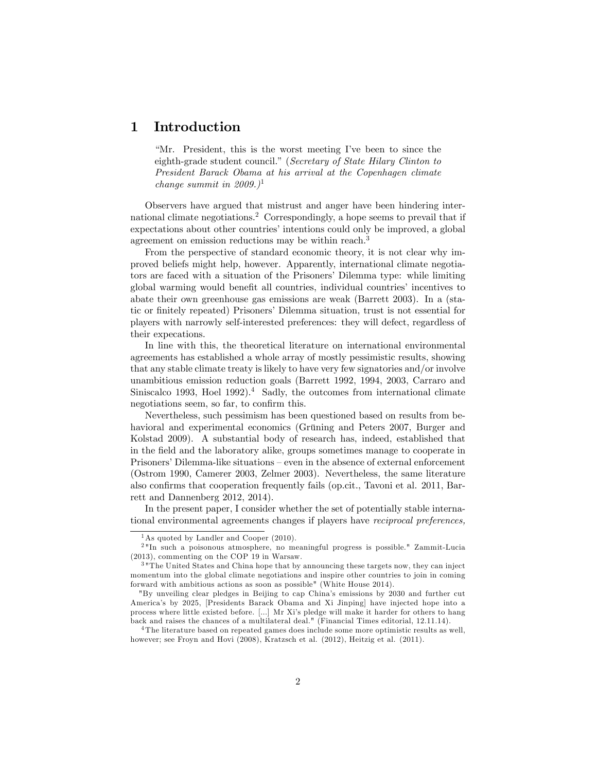#### 1 Introduction

ìMr. President, this is the worst meeting Iíve been to since the eighth-grade student council." (Secretary of State Hilary Clinton to President Barack Obama at his arrival at the Copenhagen climate change summit in 2009.)<sup>1</sup>

Observers have argued that mistrust and anger have been hindering international climate negotiations.<sup>2</sup> Correspondingly, a hope seems to prevail that if expectations about other countries' intentions could only be improved, a global agreement on emission reductions may be within reach.<sup>3</sup>

From the perspective of standard economic theory, it is not clear why improved beliefs might help, however. Apparently, international climate negotiators are faced with a situation of the Prisoners' Dilemma type: while limiting global warming would benefit all countries, individual countries' incentives to abate their own greenhouse gas emissions are weak (Barrett 2003). In a (static or finitely repeated) Prisoners' Dilemma situation, trust is not essential for players with narrowly self-interested preferences: they will defect, regardless of their expecations.

In line with this, the theoretical literature on international environmental agreements has established a whole array of mostly pessimistic results, showing that any stable climate treaty is likely to have very few signatories and/or involve unambitious emission reduction goals (Barrett 1992, 1994, 2003, Carraro and Siniscalco 1993, Hoel 1992).<sup>4</sup> Sadly, the outcomes from international climate negotiations seem, so far, to confirm this.

Nevertheless, such pessimism has been questioned based on results from behavioral and experimental economics (Grüning and Peters 2007, Burger and Kolstad 2009). A substantial body of research has, indeed, established that in the field and the laboratory alike, groups sometimes manage to cooperate in Prisoners' Dilemma-like situations – even in the absence of external enforcement (Ostrom 1990, Camerer 2003, Zelmer 2003). Nevertheless, the same literature also confirms that cooperation frequently fails (op.cit., Tavoni et al. 2011, Barrett and Dannenberg 2012, 2014).

In the present paper, I consider whether the set of potentially stable international environmental agreements changes if players have reciprocal preferences,

<sup>&</sup>lt;sup>1</sup>As quoted by Landler and Cooper  $(2010)$ .

<sup>2</sup> "In such a poisonous atmosphere, no meaningful progress is possible." Zammit-Lucia (2013), commenting on the COP 19 in Warsaw.

<sup>3</sup> "The United States and China hope that by announcing these targets now, they can inject momentum into the global climate negotiations and inspire other countries to join in coming forward with ambitious actions as soon as possible" (White House 2014).

<sup>&</sup>quot;By unveiling clear pledges in Beijing to cap Chinaís emissions by 2030 and further cut Americaís by 2025, [Presidents Barack Obama and Xi Jinping] have injected hope into a process where little existed before. [...] Mr Xiís pledge will make it harder for others to hang back and raises the chances of a multilateral deal." (Financial Times editorial, 12.11.14).

<sup>4</sup> The literature based on repeated games does include some more optimistic results as well, however; see Froyn and Hovi (2008), Kratzsch et al. (2012), Heitzig et al. (2011).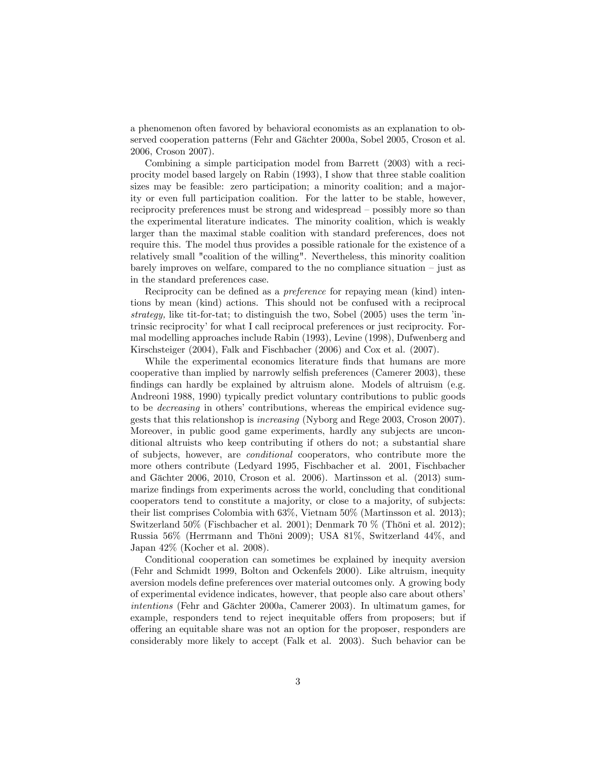a phenomenon often favored by behavioral economists as an explanation to observed cooperation patterns (Fehr and Gächter 2000a, Sobel 2005, Croson et al. 2006, Croson 2007).

Combining a simple participation model from Barrett (2003) with a reciprocity model based largely on Rabin (1993), I show that three stable coalition sizes may be feasible: zero participation; a minority coalition; and a majority or even full participation coalition. For the latter to be stable, however, reciprocity preferences must be strong and widespread – possibly more so than the experimental literature indicates. The minority coalition, which is weakly larger than the maximal stable coalition with standard preferences, does not require this. The model thus provides a possible rationale for the existence of a relatively small "coalition of the willing". Nevertheless, this minority coalition barely improves on welfare, compared to the no compliance situation  $\overline{\phantom{a}}$  just as in the standard preferences case.

Reciprocity can be defined as a *preference* for repaying mean (kind) intentions by mean (kind) actions. This should not be confused with a reciprocal strategy, like tit-for-tat; to distinguish the two, Sobel  $(2005)$  uses the term 'intrinsic reciprocity for what I call reciprocal preferences or just reciprocity. Formal modelling approaches include Rabin (1993), Levine (1998), Dufwenberg and Kirschsteiger (2004), Falk and Fischbacher (2006) and Cox et al. (2007).

While the experimental economics literature finds that humans are more cooperative than implied by narrowly selfish preferences (Camerer 2003), these findings can hardly be explained by altruism alone. Models of altruism (e.g. Andreoni 1988, 1990) typically predict voluntary contributions to public goods to be *decreasing* in others' contributions, whereas the empirical evidence suggests that this relationshop is increasing (Nyborg and Rege 2003, Croson 2007). Moreover, in public good game experiments, hardly any subjects are unconditional altruists who keep contributing if others do not; a substantial share of subjects, however, are conditional cooperators, who contribute more the more others contribute (Ledyard 1995, Fischbacher et al. 2001, Fischbacher and Gächter 2006, 2010, Croson et al. 2006). Martinsson et al. (2013) summarize findings from experiments across the world, concluding that conditional cooperators tend to constitute a majority, or close to a majority, of subjects: their list comprises Colombia with 63%, Vietnam 50% (Martinsson et al. 2013); Switzerland  $50\%$  (Fischbacher et al. 2001); Denmark 70  $\%$  (Thöni et al. 2012); Russia 56% (Herrmann and Thöni 2009); USA 81%, Switzerland 44%, and Japan 42% (Kocher et al. 2008).

Conditional cooperation can sometimes be explained by inequity aversion (Fehr and Schmidt 1999, Bolton and Ockenfels 2000). Like altruism, inequity aversion models define preferences over material outcomes only. A growing body of experimental evidence indicates, however, that people also care about othersí intentions (Fehr and Gächter 2000a, Camerer 2003). In ultimatum games, for example, responders tend to reject inequitable offers from proposers; but if o§ering an equitable share was not an option for the proposer, responders are considerably more likely to accept (Falk et al. 2003). Such behavior can be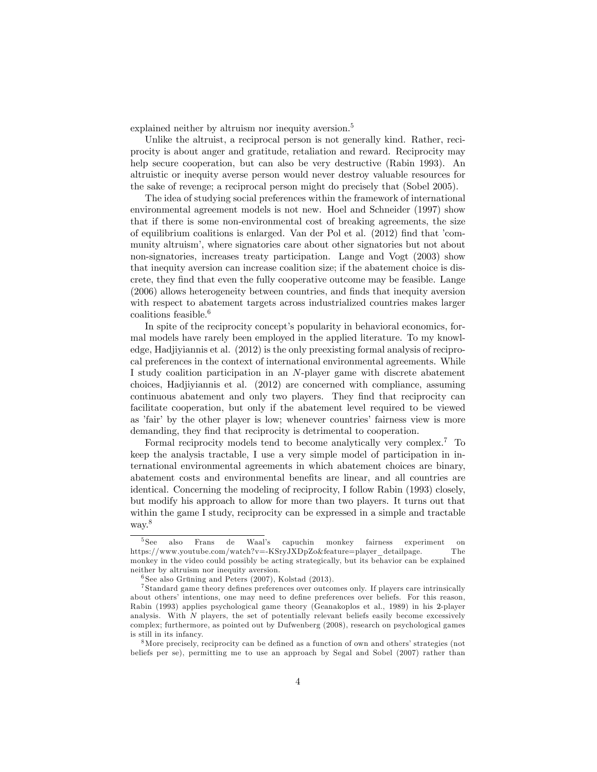explained neither by altruism nor inequity aversion.<sup>5</sup>

Unlike the altruist, a reciprocal person is not generally kind. Rather, reciprocity is about anger and gratitude, retaliation and reward. Reciprocity may help secure cooperation, but can also be very destructive (Rabin 1993). An altruistic or inequity averse person would never destroy valuable resources for the sake of revenge; a reciprocal person might do precisely that (Sobel 2005).

The idea of studying social preferences within the framework of international environmental agreement models is not new. Hoel and Schneider (1997) show that if there is some non-environmental cost of breaking agreements, the size of equilibrium coalitions is enlarged. Van der Pol et al.  $(2012)$  find that *com*munity altruismí, where signatories care about other signatories but not about non-signatories, increases treaty participation. Lange and Vogt (2003) show that inequity aversion can increase coalition size; if the abatement choice is discrete, they Önd that even the fully cooperative outcome may be feasible. Lange (2006) allows heterogeneity between countries, and Önds that inequity aversion with respect to abatement targets across industrialized countries makes larger coalitions feasible.<sup>6</sup>

In spite of the reciprocity concept's popularity in behavioral economics, formal models have rarely been employed in the applied literature. To my knowledge, Hadjiyiannis et al. (2012) is the only preexisting formal analysis of reciprocal preferences in the context of international environmental agreements. While I study coalition participation in an N-player game with discrete abatement choices, Hadjiyiannis et al. (2012) are concerned with compliance, assuming continuous abatement and only two players. They find that reciprocity can facilitate cooperation, but only if the abatement level required to be viewed as 'fair' by the other player is low; whenever countries' fairness view is more demanding, they find that reciprocity is detrimental to cooperation.

Formal reciprocity models tend to become analytically very complex.<sup>7</sup> To keep the analysis tractable, I use a very simple model of participation in international environmental agreements in which abatement choices are binary, abatement costs and environmental benefits are linear, and all countries are identical. Concerning the modeling of reciprocity, I follow Rabin (1993) closely, but modify his approach to allow for more than two players. It turns out that within the game I study, reciprocity can be expressed in a simple and tractable way.<sup>8</sup>

<sup>5</sup> See also Frans de Waalís capuchin monkey fairness experiment on https://www.youtube.com/watch?v=-KSryJXDpZo&feature=player\_detailpage. The monkey in the video could possibly be acting strategically, but its behavior can be explained neither by altruism nor inequity aversion.

 $6$  See also Grüning and Peters (2007), Kolstad (2013).

 $7$  Standard game theory defines preferences over outcomes only. If players care intrinsically about others' intentions, one may need to define preferences over beliefs. For this reason, Rabin (1993) applies psychological game theory (Geanakoplos et al., 1989) in his 2-player analysis. With N players, the set of potentially relevant beliefs easily become excessively complex; furthermore, as pointed out by Dufwenberg (2008), research on psychological games is still in its infancy.

 $8$ More precisely, reciprocity can be defined as a function of own and others' strategies (not beliefs per se), permitting me to use an approach by Segal and Sobel (2007) rather than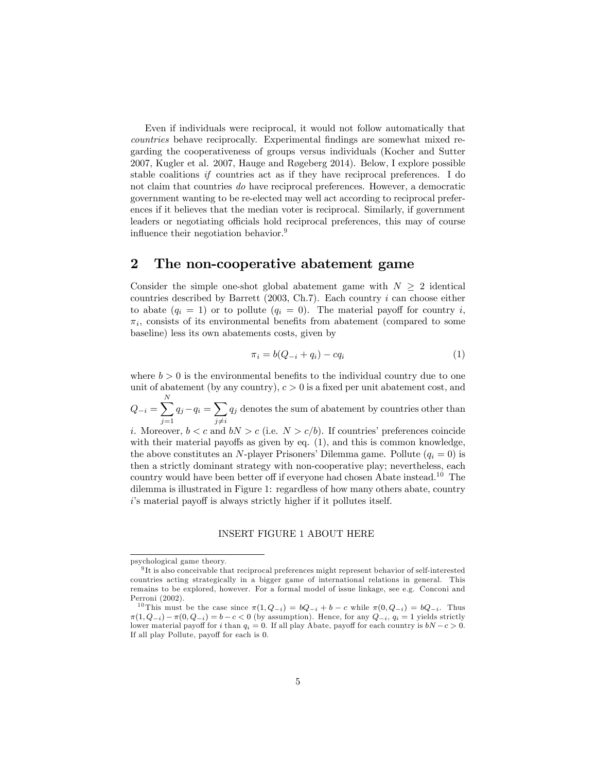Even if individuals were reciprocal, it would not follow automatically that countries behave reciprocally. Experimental findings are somewhat mixed regarding the cooperativeness of groups versus individuals (Kocher and Sutter 2007, Kugler et al. 2007, Hauge and Røgeberg 2014). Below, I explore possible stable coalitions if countries act as if they have reciprocal preferences. I do not claim that countries do have reciprocal preferences. However, a democratic government wanting to be re-elected may well act according to reciprocal preferences if it believes that the median voter is reciprocal. Similarly, if government leaders or negotiating officials hold reciprocal preferences, this may of course influence their negotiation behavior. $9$ 

#### 2 The non-cooperative abatement game

Consider the simple one-shot global abatement game with  $N \geq 2$  identical countries described by Barrett  $(2003, Ch.7)$ . Each country i can choose either to abate  $(q_i = 1)$  or to pollute  $(q_i = 0)$ . The material payoff for country i,  $\pi_i$ , consists of its environmental benefits from abatement (compared to some baseline) less its own abatements costs, given by

$$
\pi_i = b(Q_{-i} + q_i) - cq_i \tag{1}
$$

where  $b > 0$  is the environmental benefits to the individual country due to one unit of abatement (by any country),  $c > 0$  is a fixed per unit abatement cost, and

 $Q_{-i} = \sum^N$  $\sum_{j=1} q_j - q_i = \sum_{j \neq i}$  $j\neq i$  $q_j$  denotes the sum of abatement by countries other than

i. Moreover,  $b < c$  and  $bN > c$  (i.e.  $N > c/b$ ). If countries' preferences coincide with their material payoffs as given by eq.  $(1)$ , and this is common knowledge, the above constitutes an N-player Prisoners' Dilemma game. Pollute  $(q_i = 0)$  is then a strictly dominant strategy with non-cooperative play; nevertheless, each country would have been better off if everyone had chosen Abate instead.<sup>10</sup> The dilemma is illustrated in Figure 1: regardless of how many others abate, country  $i$ 's material payoff is always strictly higher if it pollutes itself.

#### INSERT FIGURE 1 ABOUT HERE

psychological game theory.

 $9^9$ It is also conceivable that reciprocal preferences might represent behavior of self-interested countries acting strategically in a bigger game of international relations in general. This remains to be explored, however. For a formal model of issue linkage, see e.g. Conconi and Perroni (2002).

<sup>&</sup>lt;sup>10</sup> This must be the case since  $\pi(1; Q_{-i}) = bQ_{-i} + b - c$  while  $\pi(0, Q_{-i}) = bQ_{-i}$ . Thus  $\pi(1; Q_{-i}) - \pi(0; Q_{-i}) = b - c < 0$  (by assumption). Hence, for any  $Q_{-i}, q_i = 1$  yields strictly lower material payoff for i than  $q_i = 0$ . If all play Abate, payoff for each country is  $bN - c > 0$ . If all play Pollute, payoff for each is 0.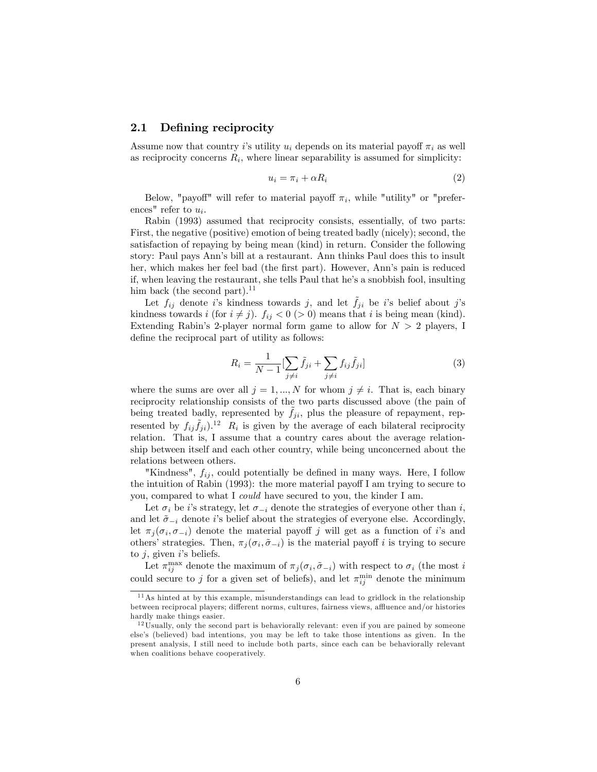#### 2.1 Defining reciprocity

Assume now that country is utility  $u_i$  depends on its material payoff  $\pi_i$  as well as reciprocity concerns  $R_i$ , where linear separability is assumed for simplicity:

$$
u_i = \pi_i + \alpha R_i \tag{2}
$$

Below, "payoff" will refer to material payoff  $\pi_i$ , while "utility" or "preferences" refer to  $u_i$ .

Rabin (1993) assumed that reciprocity consists, essentially, of two parts: First, the negative (positive) emotion of being treated badly (nicely); second, the satisfaction of repaying by being mean (kind) in return. Consider the following story: Paul pays Annís bill at a restaurant. Ann thinks Paul does this to insult her, which makes her feel bad (the first part). However, Ann's pain is reduced if, when leaving the restaurant, she tells Paul that heís a snobbish fool, insulting him back (the second part). $^{11}$ 

Let  $f_{ij}$  denote i's kindness towards j, and let  $\tilde{f}_{ji}$  be i's belief about j's kindness towards i (for  $i \neq j$ ).  $f_{ij} < 0$  (> 0) means that i is being mean (kind). Extending Rabin's 2-player normal form game to allow for  $N > 2$  players, I define the reciprocal part of utility as follows:

$$
R_{i} = \frac{1}{N-1} [\sum_{j \neq i} \tilde{f}_{ji} + \sum_{j \neq i} f_{ij} \tilde{f}_{ji}]
$$
 (3)

where the sums are over all  $j = 1, ..., N$  for whom  $j \neq i$ . That is, each binary reciprocity relationship consists of the two parts discussed above (the pain of being treated badly, represented by  $f_{ji}$ , plus the pleasure of repayment, represented by  $f_{ij} \tilde{f}_{ji}$ .<sup>12</sup>  $R_i$  is given by the average of each bilateral reciprocity relation. That is, I assume that a country cares about the average relationship between itself and each other country, while being unconcerned about the relations between others.

"Kindness",  $f_{ij}$ , could potentially be defined in many ways. Here, I follow the intuition of Rabin  $(1993)$ : the more material payoff I am trying to secure to you, compared to what I could have secured to you, the kinder I am.

Let  $\sigma_i$  be i's strategy, let  $\sigma_{-i}$  denote the strategies of everyone other than i, and let  $\tilde{\sigma}_{-i}$  denote i's belief about the strategies of everyone else. Accordingly, let  $\pi_j(\sigma_i, \sigma_{-i})$  denote the material payoff j will get as a function of i's and others' strategies. Then,  $\pi_j(\sigma_i, \tilde{\sigma}_{-i})$  is the material payoff i is trying to secure to  $j$ , given  $i$ 's beliefs.

Let  $\pi_{ij}^{\max}$  denote the maximum of  $\pi_j(\sigma_i, \tilde{\sigma}_{-i})$  with respect to  $\sigma_i$  (the most *i* could secure to j for a given set of beliefs), and let  $\pi_{ij}^{\min}$  denote the minimum

<sup>&</sup>lt;sup>11</sup>As hinted at by this example, misunderstandings can lead to gridlock in the relationship between reciprocal players; different norms, cultures, fairness views, affluence and/or histories hardly make things easier.

<sup>&</sup>lt;sup>12</sup>Usually, only the second part is behaviorally relevant: even if you are pained by someone else's (believed) bad intentions, you may be left to take those intentions as given. In the present analysis, I still need to include both parts, since each can be behaviorally relevant when coalitions behave cooperatively.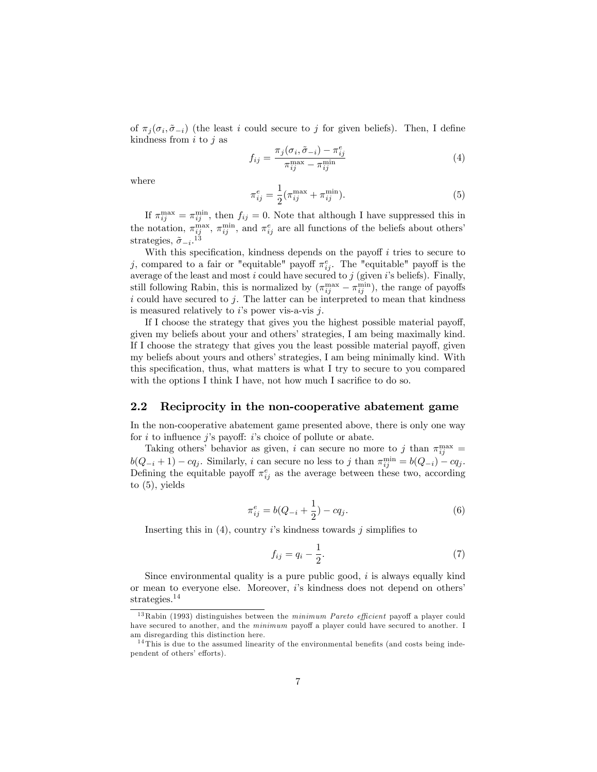of  $\pi_j(\sigma_i, \tilde{\sigma}_{-i})$  (the least i could secure to j for given beliefs). Then, I define kindness from  $i$  to  $j$  as

$$
f_{ij} = \frac{\pi_j(\sigma_i, \tilde{\sigma}_{-i}) - \pi_{ij}^e}{\pi_{ij}^{\max} - \pi_{ij}^{\min}}
$$
(4)

where

$$
\pi_{ij}^e = \frac{1}{2} (\pi_{ij}^{\max} + \pi_{ij}^{\min}).
$$
\n(5)

If  $\pi_{ij}^{\max} = \pi_{ij}^{\min}$ , then  $f_{ij} = 0$ . Note that although I have suppressed this in the notation,  $\pi_{ij}^{\max}$ ,  $\pi_{ij}^{\min}$ , and  $\pi_{ij}^e$  are all functions of the beliefs about others' strategies,  $\tilde{\sigma}_{-i}$ .<sup>13</sup>

With this specification, kindness depends on the payoff  $i$  tries to secure to j, compared to a fair or "equitable" payoff  $\pi_{ij}^e$ . The "equitable" payoff is the average of the least and most i could have secured to j (given i's beliefs). Finally, still following Rabin, this is normalized by  $(\pi_{ij}^{\max} - \pi_{ij}^{\min})$ , the range of payoffs  $i$  could have secured to  $j$ . The latter can be interpreted to mean that kindness is measured relatively to  $i$ 's power vis-a-vis  $j$ .

If I choose the strategy that gives you the highest possible material payoff, given my beliefs about your and others' strategies, I am being maximally kind. If I choose the strategy that gives you the least possible material payoff, given my beliefs about yours and others' strategies, I am being minimally kind. With this specification, thus, what matters is what I try to secure to you compared with the options I think I have, not how much I sacrifice to do so.

#### 2.2 Reciprocity in the non-cooperative abatement game

In the non-cooperative abatement game presented above, there is only one way for i to influence j's payoff: i's choice of pollute or abate.

Taking others' behavior as given, i can secure no more to j than  $\pi_{ij}^{\max}$  =  $b(Q_{-i}+1) - cq_j$ . Similarly, i can secure no less to j than  $\pi_{ij}^{\min} = b(Q_{-i}) - cq_j$ . Defining the equitable payoff  $\pi_{ij}^e$  as the average between these two, according to (5), yields

$$
\pi_{ij}^e = b(Q_{-i} + \frac{1}{2}) - cq_j.
$$
\n(6)

Inserting this in  $(4)$ , country is kindness towards j simplifies to

$$
f_{ij} = q_i - \frac{1}{2}.\tag{7}
$$

Since environmental quality is a pure public good,  $i$  is always equally kind or mean to everyone else. Moreover,  $i$ 's kindness does not depend on others' strategies.<sup>14</sup>

<sup>&</sup>lt;sup>13</sup> Rabin (1993) distinguishes between the *minimum Pareto efficient* payoff a player could have secured to another, and the *minimum* payoff a player could have secured to another. I am disregarding this distinction here.

 $14$  This is due to the assumed linearity of the environmental benefits (and costs being independent of others' efforts).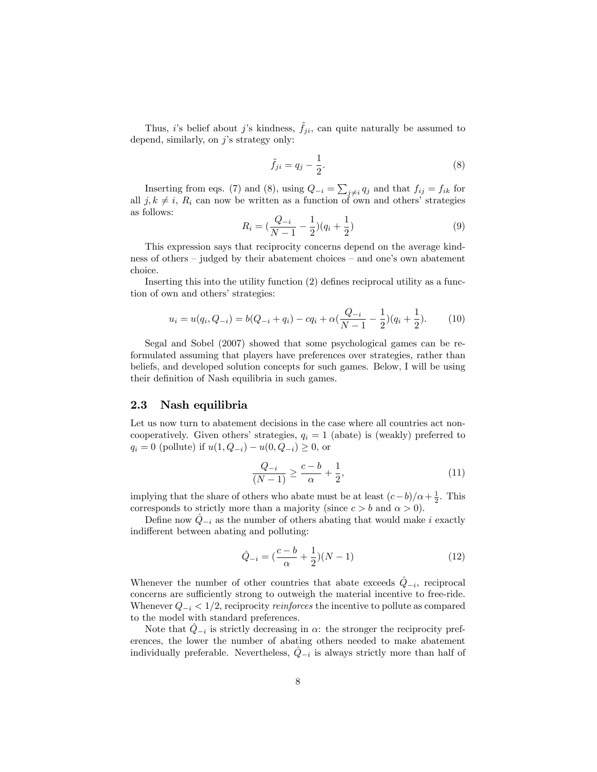Thus, i's belief about j's kindness,  $f_{ji}$ , can quite naturally be assumed to depend, similarly, on  $j$ 's strategy only:

$$
\tilde{f}_{ji} = q_j - \frac{1}{2}.\tag{8}
$$

Inserting from eqs. (7) and (8), using  $Q_{-i} = \sum_{j \neq i} q_j$  and that  $f_{ij} = f_{ik}$  for all  $j, k \neq i$ ,  $R_i$  can now be written as a function of own and others' strategies as follows:

$$
R_i = \left(\frac{Q_{-i}}{N-1} - \frac{1}{2}\right)(q_i + \frac{1}{2})\tag{9}
$$

This expression says that reciprocity concerns depend on the average kindness of others  $\overline{\phantom{a}}$  judged by their abatement choices  $\overline{\phantom{a}}$  and one's own abatement choice.

Inserting this into the utility function  $(2)$  defines reciprocal utility as a function of own and others' strategies:

$$
u_i = u(q_i, Q_{-i}) = b(Q_{-i} + q_i) - cq_i + \alpha(\frac{Q_{-i}}{N - 1} - \frac{1}{2})(q_i + \frac{1}{2}).
$$
 (10)

Segal and Sobel (2007) showed that some psychological games can be reformulated assuming that players have preferences over strategies, rather than beliefs, and developed solution concepts for such games. Below, I will be using their definition of Nash equilibria in such games.

#### 2.3 Nash equilibria

Let us now turn to abatement decisions in the case where all countries act noncooperatively. Given others' strategies,  $q_i = 1$  (abate) is (weakly) preferred to  $q_i = 0$  (pollute) if  $u(1, Q_{-i}) - u(0, Q_{-i}) \ge 0$ , or

$$
\frac{Q_{-i}}{(N-1)} \ge \frac{c-b}{\alpha} + \frac{1}{2},\tag{11}
$$

implying that the share of others who abate must be at least  $(c-b)/\alpha+\frac{1}{2}$ . This corresponds to strictly more than a majority (since  $c > b$  and  $\alpha > 0$ ).

Define now  $\hat{Q}_{-i}$  as the number of others abating that would make i exactly indifferent between abating and polluting:

$$
\hat{Q}_{-i} = \left(\frac{c-b}{\alpha} + \frac{1}{2}\right)(N-1) \tag{12}
$$

Whenever the number of other countries that abate exceeds  $\hat{Q}_{-i}$ , reciprocal concerns are sufficiently strong to outweigh the material incentive to free-ride. Whenever  $Q_{-i} < 1/2$ , reciprocity *reinforces* the incentive to pollute as compared to the model with standard preferences.

Note that  $\hat{Q}_{-i}$  is strictly decreasing in  $\alpha$ : the stronger the reciprocity preferences, the lower the number of abating others needed to make abatement individually preferable. Nevertheless,  $\hat{Q}_{-i}$  is always strictly more than half of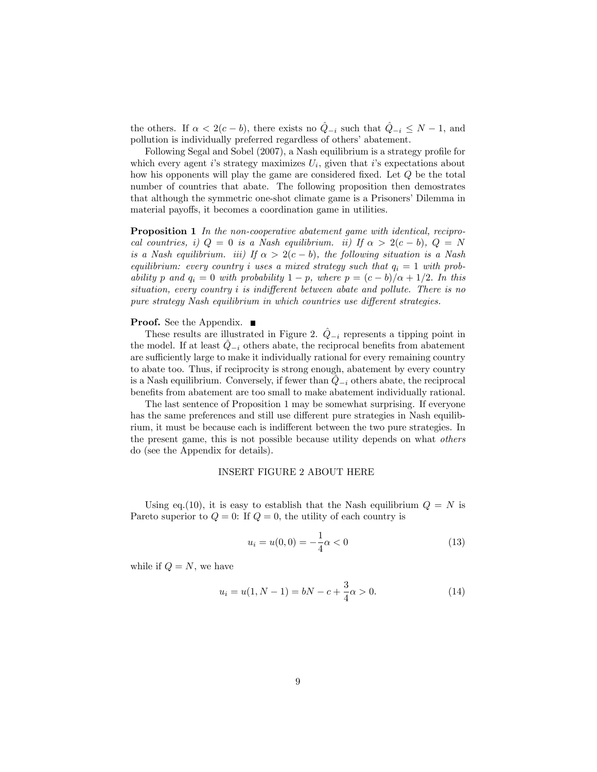the others. If  $\alpha < 2(c - b)$ , there exists no  $\hat{Q}_{-i}$  such that  $\hat{Q}_{-i} \leq N - 1$ , and pollution is individually preferred regardless of others' abatement.

Following Segal and Sobel (2007), a Nash equilibrium is a strategy profile for which every agent i's strategy maximizes  $U_i$ , given that i's expectations about how his opponents will play the game are considered fixed. Let  $Q$  be the total number of countries that abate. The following proposition then demostrates that although the symmetric one-shot climate game is a Prisoners' Dilemma in material payoffs, it becomes a coordination game in utilities.

Proposition 1 In the non-cooperative abatement game with identical, reciprocal countries, i)  $Q = 0$  is a Nash equilibrium. ii) If  $\alpha > 2(c - b)$ ,  $Q = N$ is a Nash equilibrium. iii) If  $\alpha > 2(c - b)$ , the following situation is a Nash equilibrium: every country i uses a mixed strategy such that  $q_i = 1$  with probability p and  $q_i = 0$  with probability  $1 - p$ , where  $p = (c - b)/\alpha + 1/2$ . In this  $situation, every country i is indifferent between abate and pollute. There is no$ pure strategy Nash equilibrium in which countries use different strategies.

#### **Proof.** See the Appendix. ■

These results are illustrated in Figure 2.  $\hat{Q}_{-i}$  represents a tipping point in the model. If at least  $\hat{Q}_{-i}$  others abate, the reciprocal benefits from abatement are sufficiently large to make it individually rational for every remaining country to abate too. Thus, if reciprocity is strong enough, abatement by every country is a Nash equilibrium. Conversely, if fewer than  $\ddot{Q}_{-i}$  others abate, the reciprocal benefits from abatement are too small to make abatement individually rational.

The last sentence of Proposition 1 may be somewhat surprising. If everyone has the same preferences and still use different pure strategies in Nash equilibrium, it must be because each is indifferent between the two pure strategies. In the present game, this is not possible because utility depends on what others do (see the Appendix for details).

#### INSERT FIGURE 2 ABOUT HERE

Using eq.(10), it is easy to establish that the Nash equilibrium  $Q = N$  is Pareto superior to  $Q = 0$ : If  $Q = 0$ , the utility of each country is

$$
u_i = u(0,0) = -\frac{1}{4}\alpha < 0\tag{13}
$$

while if  $Q = N$ , we have

$$
u_i = u(1, N - 1) = bN - c + \frac{3}{4}\alpha > 0.
$$
 (14)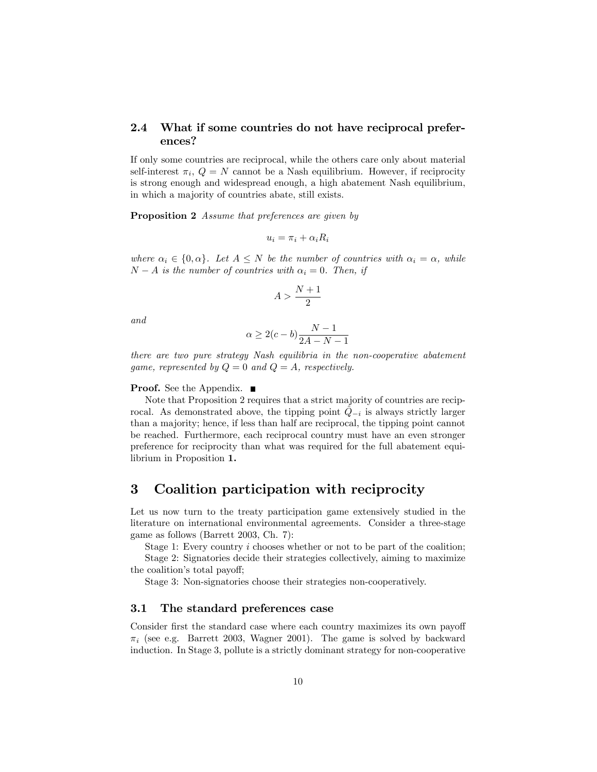#### 2.4 What if some countries do not have reciprocal preferences?

If only some countries are reciprocal, while the others care only about material self-interest  $\pi_i$ ,  $Q = N$  cannot be a Nash equilibrium. However, if reciprocity is strong enough and widespread enough, a high abatement Nash equilibrium, in which a majority of countries abate, still exists.

Proposition 2 Assume that preferences are given by

$$
u_i = \pi_i + \alpha_i R_i
$$

where  $\alpha_i \in \{0, \alpha\}$ . Let  $A \leq N$  be the number of countries with  $\alpha_i = \alpha$ , while  $N - A$  is the number of countries with  $\alpha_i = 0$ . Then, if

$$
A > \frac{N+1}{2}
$$

and

$$
\alpha \ge 2(c - b)\frac{N - 1}{2A - N - 1}
$$

there are two pure strategy Nash equilibria in the non-cooperative abatement game, represented by  $Q = 0$  and  $Q = A$ , respectively.

#### **Proof.** See the Appendix. ■

Note that Proposition 2 requires that a strict majority of countries are reciprocal. As demonstrated above, the tipping point  $\hat{Q}_{-i}$  is always strictly larger than a majority; hence, if less than half are reciprocal, the tipping point cannot be reached. Furthermore, each reciprocal country must have an even stronger preference for reciprocity than what was required for the full abatement equilibrium in Proposition 1.

#### 3 Coalition participation with reciprocity

Let us now turn to the treaty participation game extensively studied in the literature on international environmental agreements. Consider a three-stage game as follows (Barrett 2003, Ch. 7):

Stage 1: Every country  $i$  chooses whether or not to be part of the coalition;

Stage 2: Signatories decide their strategies collectively, aiming to maximize the coalition's total payoff;

Stage 3: Non-signatories choose their strategies non-cooperatively.

#### 3.1 The standard preferences case

Consider first the standard case where each country maximizes its own payoff  $\pi_i$  (see e.g. Barrett 2003, Wagner 2001). The game is solved by backward induction. In Stage 3, pollute is a strictly dominant strategy for non-cooperative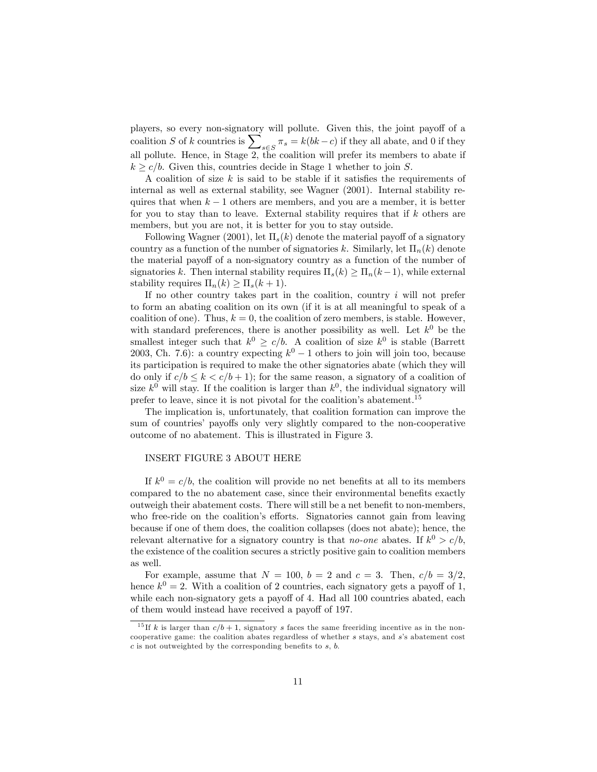players, so every non-signatory will pollute. Given this, the joint payoff of a coalition S of k countries is  $\sum_{s \in S} \pi_s = k(bk - c)$  if they all abate, and 0 if they all pollute. Hence, in Stage 2, the coalition will prefer its members to abate if  $k \geq c/b$ . Given this, countries decide in Stage 1 whether to join S.

A coalition of size  $k$  is said to be stable if it satisfies the requirements of internal as well as external stability, see Wagner (2001). Internal stability requires that when  $k - 1$  others are members, and you are a member, it is better for you to stay than to leave. External stability requires that if  $k$  others are members, but you are not, it is better for you to stay outside.

Following Wagner (2001), let  $\Pi_s(k)$  denote the material payoff of a signatory country as a function of the number of signatories k. Similarly, let  $\Pi_n(k)$  denote the material payoff of a non-signatory country as a function of the number of signatories k. Then internal stability requires  $\Pi_s(k) \geq \Pi_n(k-1)$ , while external stability requires  $\Pi_n(k) \geq \Pi_s(k + 1)$ .

If no other country takes part in the coalition, country  $i$  will not prefer to form an abating coalition on its own (if it is at all meaningful to speak of a coalition of one). Thus,  $k = 0$ , the coalition of zero members, is stable. However, with standard preferences, there is another possibility as well. Let  $k^0$  be the smallest integer such that  $k^0 \ge c/b$ . A coalition of size  $k^0$  is stable (Barrett 2003, Ch. 7.6): a country expecting  $k^0 - 1$  others to join will join too, because its participation is required to make the other signatories abate (which they will do only if  $c/b \leq k < c/b + 1$ ; for the same reason, a signatory of a coalition of size  $k^0$  will stay. If the coalition is larger than  $k^0$ , the individual signatory will prefer to leave, since it is not pivotal for the coalition's abatement.<sup>15</sup>

The implication is, unfortunately, that coalition formation can improve the sum of countries' payoffs only very slightly compared to the non-cooperative outcome of no abatement. This is illustrated in Figure 3.

#### INSERT FIGURE 3 ABOUT HERE

If  $k^0 = c/b$ , the coalition will provide no net benefits at all to its members compared to the no abatement case, since their environmental benefits exactly outweigh their abatement costs. There will still be a net benefit to non-members, who free-ride on the coalition's efforts. Signatories cannot gain from leaving because if one of them does, the coalition collapses (does not abate); hence, the relevant alternative for a signatory country is that *no-one* abates. If  $k^0 > c/b$ , the existence of the coalition secures a strictly positive gain to coalition members as well.

For example, assume that  $N = 100$ ,  $b = 2$  and  $c = 3$ . Then,  $c/b = 3/2$ , hence  $k^0 = 2$ . With a coalition of 2 countries, each signatory gets a payoff of 1, while each non-signatory gets a payoff of 4. Had all 100 countries abated, each of them would instead have received a payoff of 197.

<sup>&</sup>lt;sup>15</sup> If k is larger than  $c/b + 1$ , signatory s faces the same freeriding incentive as in the noncooperative game: the coalition abates regardless of whether  $s$  stays, and  $s$ 's abatement cost  $c$  is not outweighted by the corresponding benefits to  $s, b$ .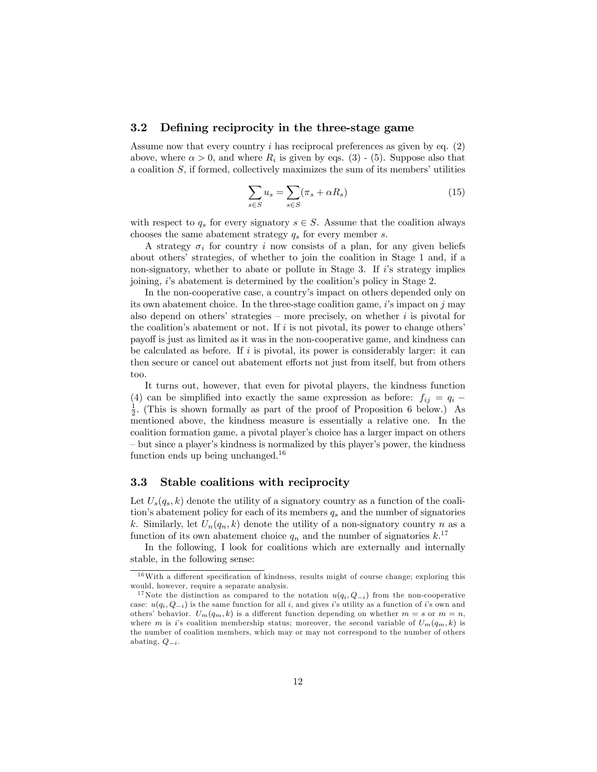#### 3.2 Defining reciprocity in the three-stage game

Assume now that every country i has reciprocal preferences as given by eq.  $(2)$ above, where  $\alpha > 0$ , and where  $R_i$  is given by eqs. (3) - (5). Suppose also that a coalition  $S$ , if formed, collectively maximizes the sum of its members' utilities

$$
\sum_{s \in S} u_s = \sum_{s \in S} (\pi_s + \alpha R_s) \tag{15}
$$

with respect to  $q_s$  for every signatory  $s \in S$ . Assume that the coalition always chooses the same abatement strategy  $q_s$  for every member s.

A strategy  $\sigma_i$  for country i now consists of a plan, for any given beliefs about others' strategies, of whether to join the coalition in Stage 1 and, if a non-signatory, whether to abate or pollute in Stage 3. If  $i$ 's strategy implies joining, i's abatement is determined by the coalition's policy in Stage 2.

In the non-cooperative case, a country's impact on others depended only on its own abatement choice. In the three-stage coalition game,  $i$ 's impact on  $j$  may also depend on others' strategies – more precisely, on whether i is pivotal for the coalition's abatement or not. If  $i$  is not pivotal, its power to change others' payo§ is just as limited as it was in the non-cooperative game, and kindness can be calculated as before. If  $i$  is pivotal, its power is considerably larger: it can then secure or cancel out abatement efforts not just from itself, but from others too.

It turns out, however, that even for pivotal players, the kindness function (4) can be simplified into exactly the same expression as before:  $f_{ij} = q_i$  $\frac{1}{2}$ . (This is shown formally as part of the proof of Proposition 6 below.) As mentioned above, the kindness measure is essentially a relative one. In the coalition formation game, a pivotal player's choice has a larger impact on others – but since a player's kindness is normalized by this player's power, the kindness function ends up being unchanged.<sup>16</sup>

#### 3.3 Stable coalitions with reciprocity

Let  $U_s(q_s, k)$  denote the utility of a signatory country as a function of the coalition's abatement policy for each of its members  $q_s$  and the number of signatories k. Similarly, let  $U_n(q_n, k)$  denote the utility of a non-signatory country n as a function of its own abatement choice  $q_n$  and the number of signatories  $k$ <sup>17</sup>

In the following, I look for coalitions which are externally and internally stable, in the following sense:

 $16$ With a different specification of kindness, results might of course change; exploring this would, however, require a separate analysis.

<sup>&</sup>lt;sup>17</sup>Note the distinction as compared to the notation  $u(q_i, Q_{-i})$  from the non-cooperative case:  $u(q_i, Q_{-i})$  is the same function for all i, and gives is utility as a function of is own and others' behavior.  $U_m(q_m, k)$  is a different function depending on whether  $m = s$  or  $m = n$ , where m is is coalition membership status; moreover, the second variable of  $U_m(q_m, k)$  is the number of coalition members, which may or may not correspond to the number of others abating,  $Q_{-i}$ .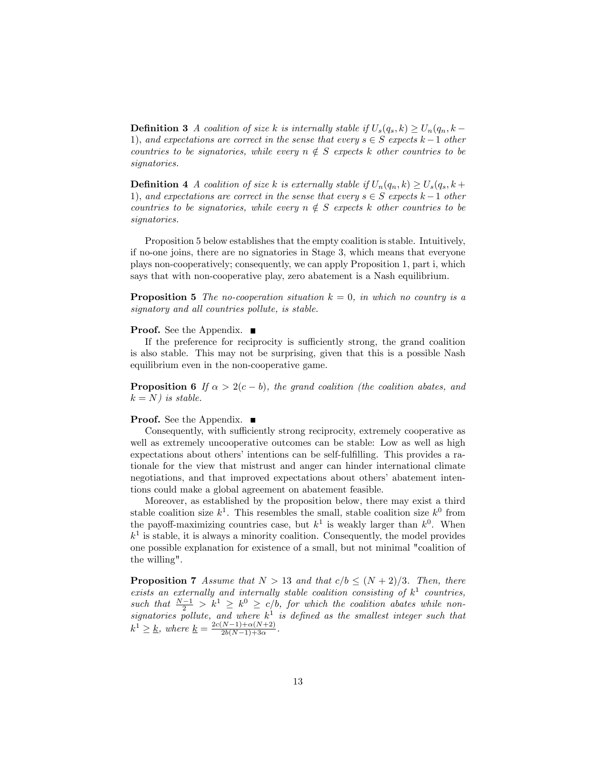**Definition 3** A coalition of size k is internally stable if  $U_s(q_s, k) \ge U_n(q_n, k -$ 1), and expectations are correct in the sense that every  $s \in S$  expects  $k - 1$  other countries to be signatories, while every  $n \notin S$  expects k other countries to be signatories.

**Definition 4** A coalition of size k is externally stable if  $U_n(q_n, k) \ge U_s(q_s, k + 1)$ 1), and expectations are correct in the sense that every  $s \in S$  expects  $k-1$  other countries to be signatories, while every  $n \notin S$  expects k other countries to be signatories.

Proposition 5 below establishes that the empty coalition is stable. Intuitively, if no-one joins, there are no signatories in Stage 3, which means that everyone plays non-cooperatively; consequently, we can apply Proposition 1, part i, which says that with non-cooperative play, zero abatement is a Nash equilibrium.

**Proposition 5** The no-cooperation situation  $k = 0$ , in which no country is a signatory and all countries pollute, is stable.

#### **Proof.** See the Appendix.  $\blacksquare$

If the preference for reciprocity is sufficiently strong, the grand coalition is also stable. This may not be surprising, given that this is a possible Nash equilibrium even in the non-cooperative game.

**Proposition 6** If  $\alpha > 2(c - b)$ , the grand coalition (the coalition abates, and  $k = N$ ) is stable.

#### **Proof.** See the Appendix. ■

Consequently, with sufficiently strong reciprocity, extremely cooperative as well as extremely uncooperative outcomes can be stable: Low as well as high expectations about others' intentions can be self-fulfilling. This provides a rationale for the view that mistrust and anger can hinder international climate negotiations, and that improved expectations about others' abatement intentions could make a global agreement on abatement feasible.

Moreover, as established by the proposition below, there may exist a third stable coalition size  $k^1$ . This resembles the small, stable coalition size  $k^0$  from the payoff-maximizing countries case, but  $k^1$  is weakly larger than  $k^0$ . When  $k<sup>1</sup>$  is stable, it is always a minority coalition. Consequently, the model provides one possible explanation for existence of a small, but not minimal "coalition of the willing".

**Proposition 7** Assume that  $N > 13$  and that  $c/b \leq (N + 2)/3$ . Then, there exists an externally and internally stable coalition consisting of  $k<sup>1</sup>$  countries, such that  $\frac{N-1}{2} > k^1 \ge k^0 \ge c/b$ , for which the coalition abates while nonsignatories pollute, and where  $k^1$  is defined as the smallest integer such that  $k^1 \geq \underline{k}$ , where  $\underline{k} = \frac{2c(N-1)+\alpha(N+2)}{2b(N-1)+3\alpha}$  $\frac{(N-1)+\alpha(N+2)}{2b(N-1)+3\alpha}$ .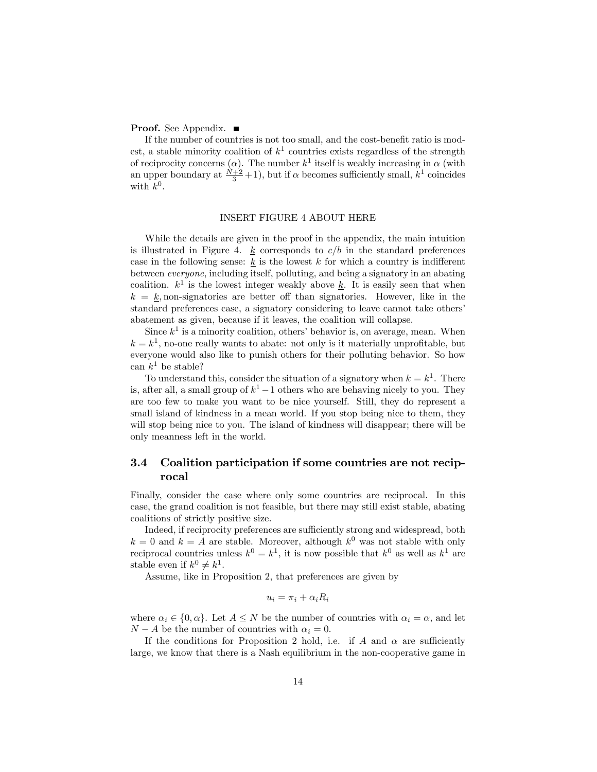#### **Proof.** See Appendix. ■

If the number of countries is not too small, and the cost-benefit ratio is modest, a stable minority coalition of  $k^1$  countries exists regardless of the strength of reciprocity concerns ( $\alpha$ ). The number  $k^1$  itself is weakly increasing in  $\alpha$  (with an upper boundary at  $\frac{N+2}{3}+1$ , but if  $\alpha$  becomes sufficiently small,  $k^1$  coincides with  $k^0$ .

#### INSERT FIGURE 4 ABOUT HERE

While the details are given in the proof in the appendix, the main intuition is illustrated in Figure 4. k corresponds to  $c/b$  in the standard preferences case in the following sense:  $k$  is the lowest k for which a country is indifferent between everyone, including itself, polluting, and being a signatory in an abating coalition.  $k^1$  is the lowest integer weakly above  $\underline{k}$ . It is easily seen that when  $k = k$ , non-signatories are better off than signatories. However, like in the standard preferences case, a signatory considering to leave cannot take othersí abatement as given, because if it leaves, the coalition will collapse.

Since  $k^1$  is a minority coalition, others' behavior is, on average, mean. When  $k = k<sup>1</sup>$ , no-one really wants to abate: not only is it materially unprofitable, but everyone would also like to punish others for their polluting behavior. So how can  $k^1$  be stable?

To understand this, consider the situation of a signatory when  $k = k<sup>1</sup>$ . There is, after all, a small group of  $k^1 - 1$  others who are behaving nicely to you. They are too few to make you want to be nice yourself. Still, they do represent a small island of kindness in a mean world. If you stop being nice to them, they will stop being nice to you. The island of kindness will disappear; there will be only meanness left in the world.

#### 3.4 Coalition participation if some countries are not reciprocal

Finally, consider the case where only some countries are reciprocal. In this case, the grand coalition is not feasible, but there may still exist stable, abating coalitions of strictly positive size.

Indeed, if reciprocity preferences are sufficiently strong and widespread, both  $k = 0$  and  $k = A$  are stable. Moreover, although  $k^0$  was not stable with only reciprocal countries unless  $k^0 = k^1$ , it is now possible that  $k^0$  as well as  $k^1$  are stable even if  $k^0 \neq k^1$ .

Assume, like in Proposition 2, that preferences are given by

$$
u_i = \pi_i + \alpha_i R_i
$$

where  $\alpha_i \in \{0, \alpha\}$ . Let  $A \leq N$  be the number of countries with  $\alpha_i = \alpha$ , and let  $N - A$  be the number of countries with  $\alpha_i = 0$ .

If the conditions for Proposition 2 hold, i.e. if A and  $\alpha$  are sufficiently large, we know that there is a Nash equilibrium in the non-cooperative game in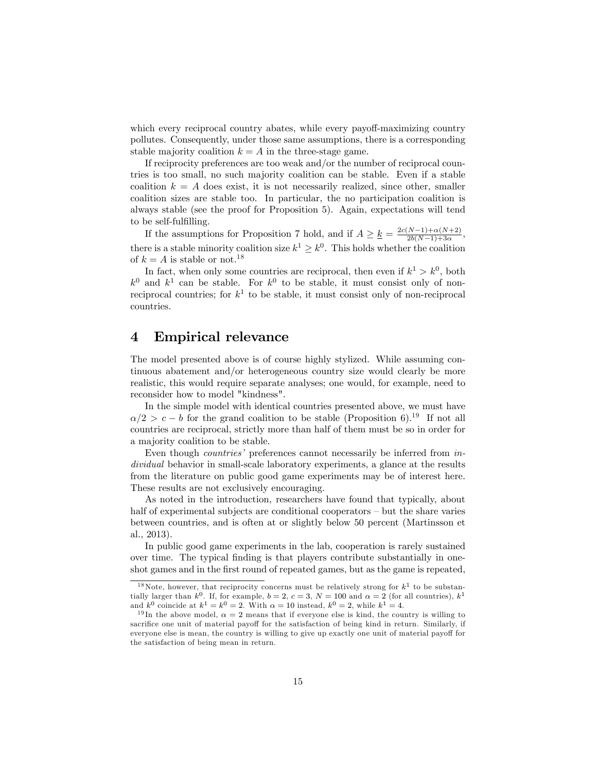which every reciprocal country abates, while every payoff-maximizing country pollutes. Consequently, under those same assumptions, there is a corresponding stable majority coalition  $k = A$  in the three-stage game.

If reciprocity preferences are too weak and/or the number of reciprocal countries is too small, no such majority coalition can be stable. Even if a stable coalition  $k = A$  does exist, it is not necessarily realized, since other, smaller coalition sizes are stable too. In particular, the no participation coalition is always stable (see the proof for Proposition 5). Again, expectations will tend to be self-fulfilling.

If the assumptions for Proposition 7 hold, and if  $A \geq \underline{k} = \frac{2c(N-1)+\alpha(N+2)}{2b(N-1)+3\alpha}$  $2b(N-1)+3\alpha$ , there is a stable minority coalition size  $k^1 \geq k^0$ . This holds whether the coalition of  $k = A$  is stable or not.<sup>18</sup>

In fact, when only some countries are reciprocal, then even if  $k^1 > k^0$ , both  $k^0$  and  $k^1$  can be stable. For  $k^0$  to be stable, it must consist only of nonreciprocal countries; for  $k^1$  to be stable, it must consist only of non-reciprocal countries.

#### 4 Empirical relevance

The model presented above is of course highly stylized. While assuming continuous abatement and/or heterogeneous country size would clearly be more realistic, this would require separate analyses; one would, for example, need to reconsider how to model "kindness".

In the simple model with identical countries presented above, we must have  $\alpha/2 > c - b$  for the grand coalition to be stable (Proposition 6).<sup>19</sup> If not all countries are reciprocal, strictly more than half of them must be so in order for a majority coalition to be stable.

Even though *countries*' preferences cannot necessarily be inferred from *in*dividual behavior in small-scale laboratory experiments, a glance at the results from the literature on public good game experiments may be of interest here. These results are not exclusively encouraging.

As noted in the introduction, researchers have found that typically, about half of experimental subjects are conditional cooperators  $-\text{ but the share varies}$ between countries, and is often at or slightly below 50 percent (Martinsson et al., 2013).

In public good game experiments in the lab, cooperation is rarely sustained over time. The typical finding is that players contribute substantially in oneshot games and in the first round of repeated games, but as the game is repeated,

<sup>&</sup>lt;sup>18</sup>Note, however, that reciprocity concerns must be relatively strong for  $k<sup>1</sup>$  to be substantially larger than  $k^0$ . If, for example,  $b = 2$ ,  $c = 3$ ,  $N = 100$  and  $\alpha = 2$  (for all countries),  $k^1$ and  $k^0$  coincide at  $k^1 = k^0 = 2$ . With  $\alpha = 10$  instead,  $k^0 = 2$ , while  $k^1 = 4$ .

<sup>&</sup>lt;sup>19</sup>In the above model,  $\alpha = 2$  means that if everyone else is kind, the country is willing to sacrifice one unit of material payoff for the satisfaction of being kind in return. Similarly, if everyone else is mean, the country is willing to give up exactly one unit of material payoff for the satisfaction of being mean in return.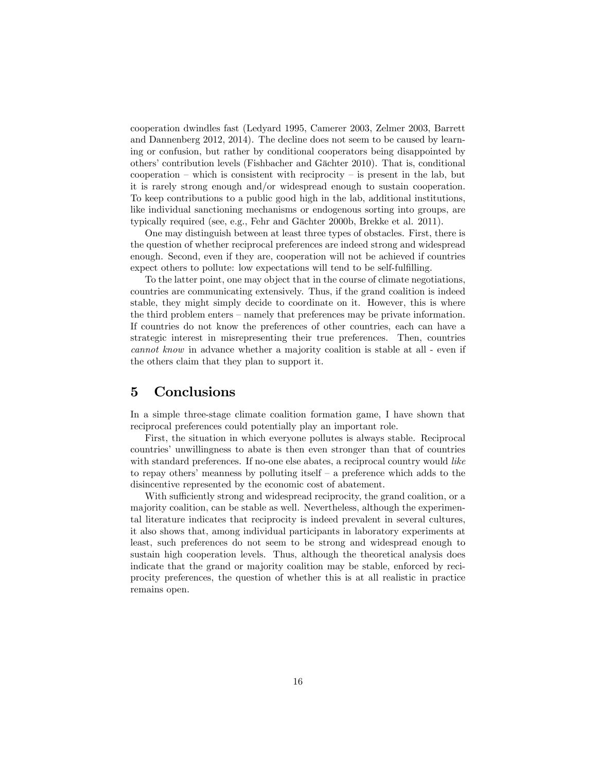cooperation dwindles fast (Ledyard 1995, Camerer 2003, Zelmer 2003, Barrett and Dannenberg 2012, 2014). The decline does not seem to be caused by learning or confusion, but rather by conditional cooperators being disappointed by othersícontribution levels (Fishbacher and G‰chter 2010). That is, conditional cooperation  $\overline{\phantom{a}}$  which is consistent with reciprocity  $\overline{\phantom{a}}$  is present in the lab, but it is rarely strong enough and/or widespread enough to sustain cooperation. To keep contributions to a public good high in the lab, additional institutions, like individual sanctioning mechanisms or endogenous sorting into groups, are typically required (see, e.g., Fehr and Gächter 2000b, Brekke et al. 2011).

One may distinguish between at least three types of obstacles. First, there is the question of whether reciprocal preferences are indeed strong and widespread enough. Second, even if they are, cooperation will not be achieved if countries expect others to pollute: low expectations will tend to be self-fulfilling.

To the latter point, one may object that in the course of climate negotiations, countries are communicating extensively. Thus, if the grand coalition is indeed stable, they might simply decide to coordinate on it. However, this is where the third problem enters  $-$  namely that preferences may be private information. If countries do not know the preferences of other countries, each can have a strategic interest in misrepresenting their true preferences. Then, countries cannot know in advance whether a majority coalition is stable at all - even if the others claim that they plan to support it.

#### 5 Conclusions

In a simple three-stage climate coalition formation game, I have shown that reciprocal preferences could potentially play an important role.

First, the situation in which everyone pollutes is always stable. Reciprocal countriesí unwillingness to abate is then even stronger than that of countries with standard preferences. If no-one else abates, a reciprocal country would like to repay others' meanness by polluting itself  $-$  a preference which adds to the disincentive represented by the economic cost of abatement.

With sufficiently strong and widespread reciprocity, the grand coalition, or a majority coalition, can be stable as well. Nevertheless, although the experimental literature indicates that reciprocity is indeed prevalent in several cultures, it also shows that, among individual participants in laboratory experiments at least, such preferences do not seem to be strong and widespread enough to sustain high cooperation levels. Thus, although the theoretical analysis does indicate that the grand or majority coalition may be stable, enforced by reciprocity preferences, the question of whether this is at all realistic in practice remains open.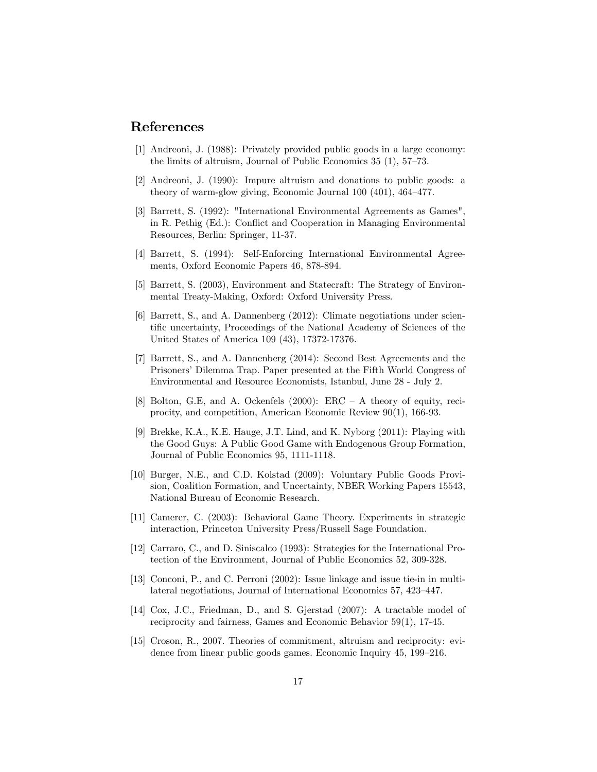#### References

- [1] Andreoni, J. (1988): Privately provided public goods in a large economy: the limits of altruism, Journal of Public Economics  $35(1)$ ,  $57-73$ .
- [2] Andreoni, J. (1990): Impure altruism and donations to public goods: a theory of warm-glow giving, Economic Journal  $100$   $(401)$ ,  $464-477$ .
- [3] Barrett, S. (1992): "International Environmental Agreements as Games", in R. Pethig (Ed.): Conflict and Cooperation in Managing Environmental Resources, Berlin: Springer, 11-37.
- [4] Barrett, S. (1994): Self-Enforcing International Environmental Agreements, Oxford Economic Papers 46, 878-894.
- [5] Barrett, S. (2003), Environment and Statecraft: The Strategy of Environmental Treaty-Making, Oxford: Oxford University Press.
- [6] Barrett, S., and A. Dannenberg (2012): Climate negotiations under scientific uncertainty, Proceedings of the National Academy of Sciences of the United States of America 109 (43), 17372-17376.
- [7] Barrett, S., and A. Dannenberg (2014): Second Best Agreements and the Prisoners' Dilemma Trap. Paper presented at the Fifth World Congress of Environmental and Resource Economists, Istanbul, June 28 - July 2.
- [8] Bolton, G.E, and A. Ockenfels  $(2000)$ : ERC A theory of equity, reciprocity, and competition, American Economic Review 90(1), 166-93.
- [9] Brekke, K.A., K.E. Hauge, J.T. Lind, and K. Nyborg (2011): Playing with the Good Guys: A Public Good Game with Endogenous Group Formation, Journal of Public Economics 95, 1111-1118.
- [10] Burger, N.E., and C.D. Kolstad (2009): Voluntary Public Goods Provision, Coalition Formation, and Uncertainty, NBER Working Papers 15543, National Bureau of Economic Research.
- [11] Camerer, C. (2003): Behavioral Game Theory. Experiments in strategic interaction, Princeton University Press/Russell Sage Foundation.
- [12] Carraro, C., and D. Siniscalco (1993): Strategies for the International Protection of the Environment, Journal of Public Economics 52, 309-328.
- [13] Conconi, P., and C. Perroni (2002): Issue linkage and issue tie-in in multilateral negotiations, Journal of International Economics 57, 423-447.
- [14] Cox, J.C., Friedman, D., and S. Gjerstad (2007): A tractable model of reciprocity and fairness, Games and Economic Behavior 59(1), 17-45.
- [15] Croson, R., 2007. Theories of commitment, altruism and reciprocity: evidence from linear public goods games. Economic Inquiry 45, 199–216.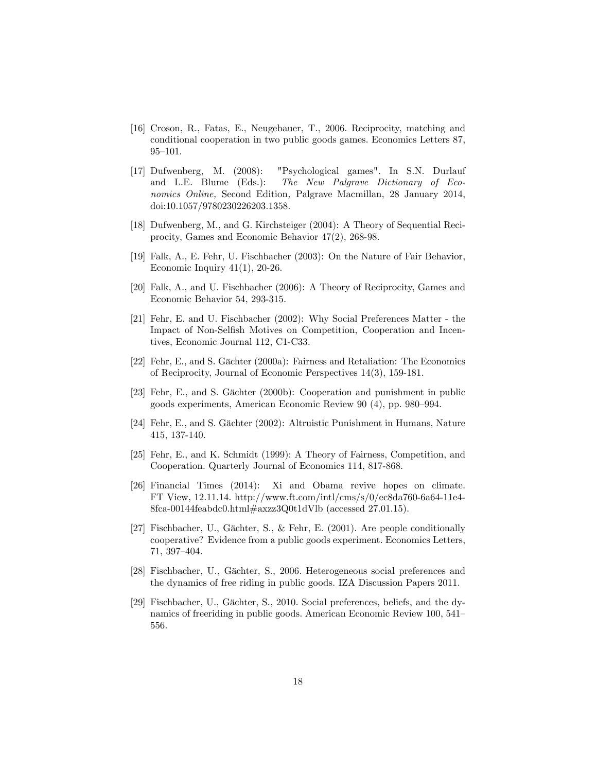- [16] Croson, R., Fatas, E., Neugebauer, T., 2006. Reciprocity, matching and conditional cooperation in two public goods games. Economics Letters 87,  $95 - 101.$
- [17] Dufwenberg, M. (2008): "Psychological games". In S.N. Durlauf and L.E. Blume (Eds.): The New Palgrave Dictionary of Economics Online, Second Edition, Palgrave Macmillan, 28 January 2014, doi:10.1057/9780230226203.1358.
- [18] Dufwenberg, M., and G. Kirchsteiger (2004): A Theory of Sequential Reciprocity, Games and Economic Behavior 47(2), 268-98.
- [19] Falk, A., E. Fehr, U. Fischbacher (2003): On the Nature of Fair Behavior, Economic Inquiry  $41(1)$ , 20-26.
- [20] Falk, A., and U. Fischbacher (2006): A Theory of Reciprocity, Games and Economic Behavior 54, 293-315.
- [21] Fehr, E. and U. Fischbacher (2002): Why Social Preferences Matter the Impact of Non-Selfish Motives on Competition, Cooperation and Incentives, Economic Journal 112, C1-C33.
- [22] Fehr, E., and S. Gächter (2000a): Fairness and Retaliation: The Economics of Reciprocity, Journal of Economic Perspectives 14(3), 159-181.
- [23] Fehr, E., and S. Gächter (2000b): Cooperation and punishment in public goods experiments, American Economic Review 90 (4), pp. 980–994.
- [24] Fehr, E., and S. Gächter (2002): Altruistic Punishment in Humans, Nature 415, 137-140.
- [25] Fehr, E., and K. Schmidt (1999): A Theory of Fairness, Competition, and Cooperation. Quarterly Journal of Economics 114, 817-868.
- [26] Financial Times (2014): Xi and Obama revive hopes on climate. FT View, 12.11.14. http://www.ft.com/intl/cms/s/0/ec8da760-6a64-11e4- 8fca-00144feabdc0.html#axzz3Q0t1dVlb (accessed 27.01.15).
- [27] Fischbacher, U., Gächter, S., & Fehr, E. (2001). Are people conditionally cooperative? Evidence from a public goods experiment. Economics Letters, 71, 397-404.
- [28] Fischbacher, U., Gächter, S., 2006. Heterogeneous social preferences and the dynamics of free riding in public goods. IZA Discussion Papers 2011.
- [29] Fischbacher, U., Gächter, S., 2010. Social preferences, beliefs, and the dynamics of freeriding in public goods. American Economic Review 100, 541 556.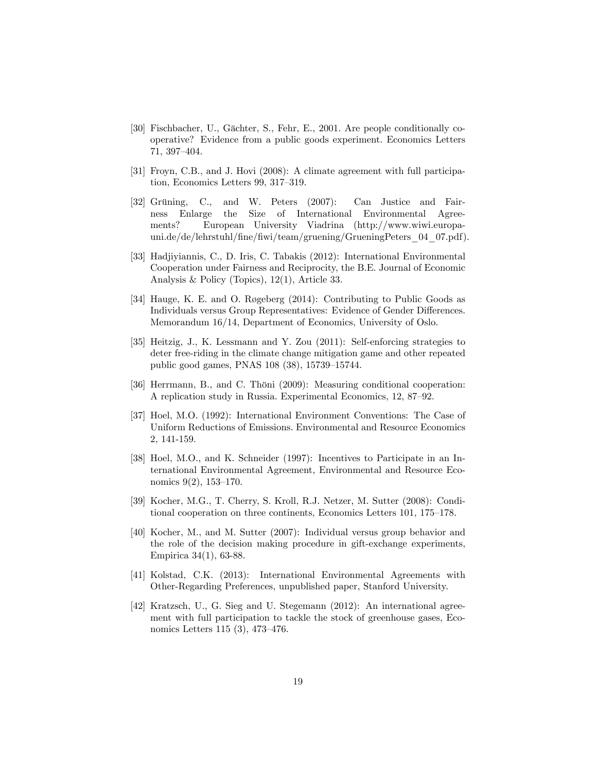- [30] Fischbacher, U., Gächter, S., Fehr, E., 2001. Are people conditionally cooperative? Evidence from a public goods experiment. Economics Letters 71, 397-404.
- [31] Froyn, C.B., and J. Hovi (2008): A climate agreement with full participation, Economics Letters 99, 317-319.
- $[32]$  Grüning, C., and W. Peters  $(2007)$ : Can Justice and Fairness Enlarge the Size of International Environmental Agreements? European University Viadrina (http://www.wiwi.europauni.de/de/lehrstuhl/fine/fiwi/team/gruening/GrueningPeters 04 07.pdf).
- [33] Hadjiyiannis, C., D. Iris, C. Tabakis (2012): International Environmental Cooperation under Fairness and Reciprocity, the B.E. Journal of Economic Analysis & Policy (Topics), 12(1), Article 33.
- [34] Hauge, K. E. and O. Røgeberg (2014): Contributing to Public Goods as Individuals versus Group Representatives: Evidence of Gender Differences. Memorandum 16/14, Department of Economics, University of Oslo.
- [35] Heitzig, J., K. Lessmann and Y. Zou (2011): Self-enforcing strategies to deter free-riding in the climate change mitigation game and other repeated public good games, PNAS 108 (38), 15739–15744.
- [36] Herrmann, B., and C. Thöni (2009): Measuring conditional cooperation: A replication study in Russia. Experimental Economics, 12, 87–92.
- [37] Hoel, M.O. (1992): International Environment Conventions: The Case of Uniform Reductions of Emissions. Environmental and Resource Economics 2, 141-159.
- [38] Hoel, M.O., and K. Schneider (1997): Incentives to Participate in an International Environmental Agreement, Environmental and Resource Economics  $9(2)$ , 153–170.
- [39] Kocher, M.G., T. Cherry, S. Kroll, R.J. Netzer, M. Sutter (2008): Conditional cooperation on three continents, Economics Letters  $101$ ,  $175-178$ .
- [40] Kocher, M., and M. Sutter (2007): Individual versus group behavior and the role of the decision making procedure in gift-exchange experiments, Empirica 34(1), 63-88.
- [41] Kolstad, C.K. (2013): International Environmental Agreements with Other-Regarding Preferences, unpublished paper, Stanford University.
- [42] Kratzsch, U., G. Sieg and U. Stegemann (2012): An international agreement with full participation to tackle the stock of greenhouse gases, Economics Letters 115  $(3)$ , 473–476.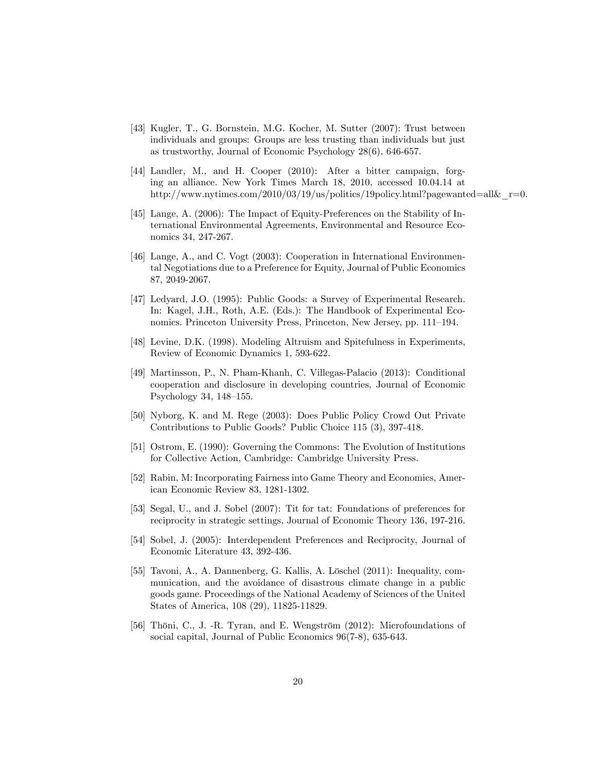- [43] Kugler, T., G. Bornstein, M.G. Kocher, M. Sutter (2007): Trust between individuals and groups: Groups are less trusting than individuals but just as trustworthy, Journal of Economic Psychology 28(6), 646-657.
- [44] Landler, M., and H. Cooper (2010): After a bitter campaign, forging an alliance. New York Times March 18, 2010, accessed 10.04.14 at http://www.nytimes.com/2010/03/19/us/politics/19policy.html?pagewanted=all& $r=0$ .
- [45] Lange, A. (2006): The Impact of Equity-Preferences on the Stability of International Environmental Agreements, Environmental and Resource Economics 34, 247-267.
- [46] Lange, A., and C. Vogt (2003): Cooperation in International Environmental Negotiations due to a Preference for Equity, Journal of Public Economics 87, 2049-2067.
- [47] Ledyard, J.O. (1995): Public Goods: a Survey of Experimental Research. In: Kagel, J.H., Roth, A.E. (Eds.): The Handbook of Experimental Economics. Princeton University Press, Princeton, New Jersey, pp. 111–194.
- [48] Levine, D.K. (1998). Modeling Altruism and Spitefulness in Experiments, Review of Economic Dynamics 1, 593-622.
- [49] Martinsson, P., N. Pham-Khanh, C. Villegas-Palacio (2013): Conditional cooperation and disclosure in developing countries, Journal of Economic Psychology 34,  $148-155$ .
- [50] Nyborg, K. and M. Rege (2003): Does Public Policy Crowd Out Private Contributions to Public Goods? Public Choice 115 (3), 397-418.
- [51] Ostrom, E. (1990): Governing the Commons: The Evolution of Institutions for Collective Action, Cambridge: Cambridge University Press.
- [52] Rabin, M: Incorporating Fairness into Game Theory and Economics, American Economic Review 83, 1281-1302.
- [53] Segal, U., and J. Sobel (2007): Tit for tat: Foundations of preferences for reciprocity in strategic settings, Journal of Economic Theory 136, 197-216.
- [54] Sobel, J. (2005): Interdependent Preferences and Reciprocity, Journal of Economic Literature 43, 392-436.
- [55] Tavoni, A., A. Dannenberg, G. Kallis, A. Löschel (2011): Inequality, communication, and the avoidance of disastrous climate change in a public goods game. Proceedings of the National Academy of Sciences of the United States of America, 108 (29), 11825-11829.
- [56] Thöni, C., J. -R. Tyran, and E. Wengström  $(2012)$ : Microfoundations of social capital, Journal of Public Economics 96(7-8), 635-643.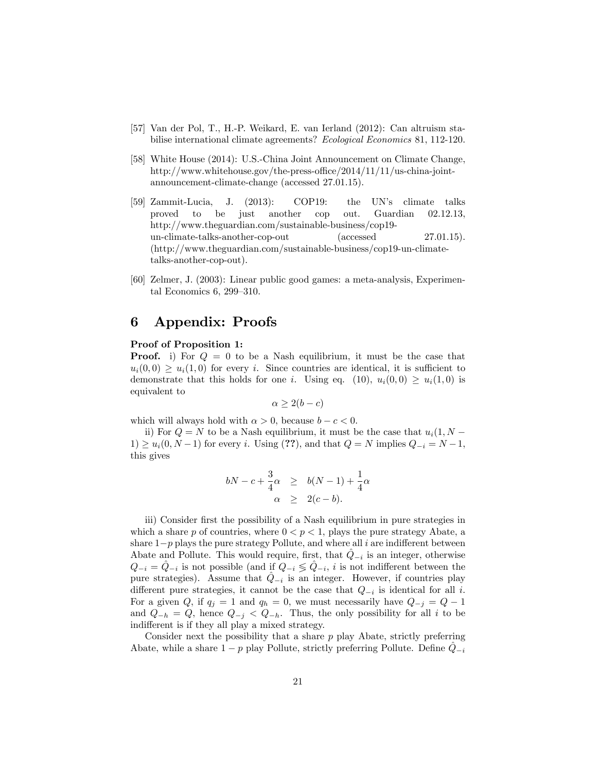- [57] Van der Pol, T., H.-P. Weikard, E. van Ierland (2012): Can altruism stabilise international climate agreements? Ecological Economics 81, 112-120.
- [58] White House (2014): U.S.-China Joint Announcement on Climate Change, http://www.whitehouse.gov/the-press-office/2014/11/11/us-china-jointannouncement-climate-change (accessed 27.01.15).
- [59] Zammit-Lucia, J. (2013): COP19: the UN's climate talks proved to be just another cop out. Guardian 02.12.13, http://www.theguardian.com/sustainable-business/cop19 un-climate-talks-another-cop-out (accessed 27.01.15). (http://www.theguardian.com/sustainable-business/cop19-un-climatetalks-another-cop-out).
- [60] Zelmer, J. (2003): Linear public good games: a meta-analysis, Experimental Economics  $6, 299-310$ .

#### 6 Appendix: Proofs

#### Proof of Proposition 1:

**Proof.** i) For  $Q = 0$  to be a Nash equilibrium, it must be the case that  $u_i(0,0) \geq u_i(1,0)$  for every i. Since countries are identical, it is sufficient to demonstrate that this holds for one i. Using eq. (10),  $u_i(0,0) \ge u_i(1,0)$  is equivalent to

$$
\alpha \ge 2(b-c)
$$

which will always hold with  $\alpha > 0$ , because  $b - c < 0$ .

ii) For  $Q = N$  to be a Nash equilibrium, it must be the case that  $u_i(1, N 1) \geq u_i(0, N-1)$  for every i. Using (??), and that  $Q = N$  implies  $Q_{-i} = N-1$ , this gives

$$
bN - c + \frac{3}{4}\alpha \ge b(N - 1) + \frac{1}{4}\alpha
$$
  

$$
\alpha \ge 2(c - b).
$$

iii) Consider first the possibility of a Nash equilibrium in pure strategies in which a share p of countries, where  $0 < p < 1$ , plays the pure strategy Abate, a share  $1-p$  plays the pure strategy Pollute, and where all i are indifferent between Abate and Pollute. This would require, first, that  $\hat{Q}_{-i}$  is an integer, otherwise  $Q_{-i} = \hat{Q}_{-i}$  is not possible (and if  $Q_{-i} \leq \hat{Q}_{-i}$ , i is not indifferent between the pure strategies). Assume that  $\hat{Q}_{-i}$  is an integer. However, if countries play different pure strategies, it cannot be the case that  $Q_{-i}$  is identical for all i. For a given Q, if  $q_i = 1$  and  $q_h = 0$ , we must necessarily have  $Q_{-i} = Q - 1$ and  $Q_{-h} = Q$ , hence  $Q_{-j} < Q_{-h}$ . Thus, the only possibility for all i to be indifferent is if they all play a mixed strategy.

Consider next the possibility that a share  $p$  play Abate, strictly preferring Abate, while a share  $1 - p$  play Pollute, strictly preferring Pollute. Define  $\tilde{Q}_{-i}$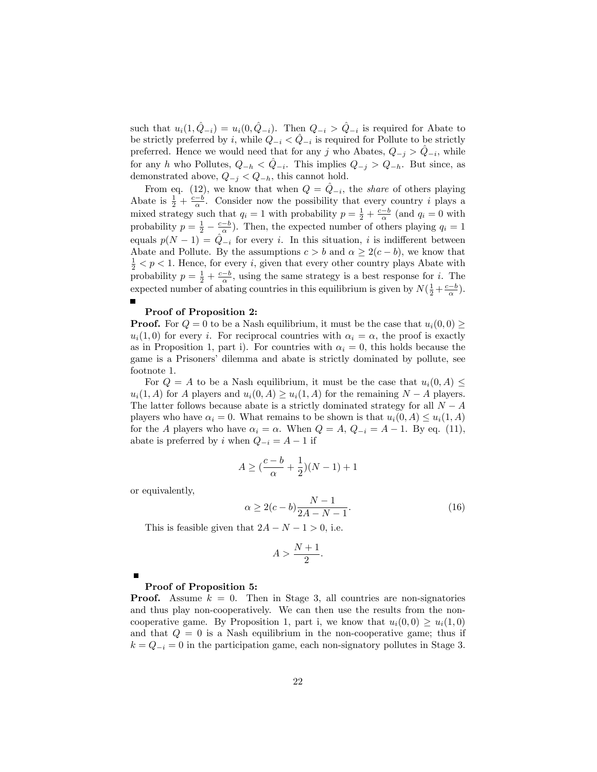such that  $u_i(1, \hat{Q}_{-i}) = u_i(0, \hat{Q}_{-i})$ . Then  $Q_{-i} > \hat{Q}_{-i}$  is required for Abate to be strictly preferred by i, while  $Q_{-i} < \hat{Q}_{-i}$  is required for Pollute to be strictly preferred. Hence we would need that for any j who Abates,  $Q_{-j} > \hat{Q}_{-i}$ , while for any h who Pollutes,  $Q_{-h} < \hat{Q}_{-i}$ . This implies  $Q_{-j} > Q_{-h}$ . But since, as demonstrated above,  $Q_{-j} < Q_{-h}$ , this cannot hold.

From eq. (12), we know that when  $Q = \hat{Q}_{-i}$ , the *share* of others playing Abate is  $\frac{1}{2} + \frac{c-b}{\alpha}$ . Consider now the possibility that every country *i* plays a mixed strategy such that  $q_i = 1$  with probability  $p = \frac{1}{2} + \frac{c-b}{\alpha}$  (and  $q_i = 0$  with probability  $p = \frac{1}{2} - \frac{c-b}{a}$ . Then, the expected number of others playing  $q_i = 1$ equals  $p(N - 1) = \hat{Q}_{-i}$  for every i. In this situation, i is indifferent between Abate and Pollute. By the assumptions  $c > b$  and  $\alpha \geq 2(c - b)$ , we know that  $\frac{1}{2}$  < p < 1. Hence, for every *i*, given that every other country plays Abate with probability  $p = \frac{1}{2} + \frac{c-b}{\alpha}$ , using the same strategy is a best response for *i*. The expected number of abating countries in this equilibrium is given by  $N(\frac{1}{2} + \frac{c-b}{\alpha})$ .

#### Proof of Proposition 2:

**Proof.** For  $Q = 0$  to be a Nash equilibrium, it must be the case that  $u_i(0,0)$  $u_i(1,0)$  for every i. For reciprocal countries with  $\alpha_i = \alpha$ , the proof is exactly as in Proposition 1, part i). For countries with  $\alpha_i = 0$ , this holds because the game is a Prisoners' dilemma and abate is strictly dominated by pollute, see footnote 1.

For  $Q = A$  to be a Nash equilibrium, it must be the case that  $u_i(0, A)$  $u_i(1, A)$  for A players and  $u_i(0, A) \ge u_i(1, A)$  for the remaining  $N - A$  players. The latter follows because abate is a strictly dominated strategy for all  $N - A$ players who have  $\alpha_i = 0$ . What remains to be shown is that  $u_i(0, A) \leq u_i(1, A)$ for the A players who have  $\alpha_i = \alpha$ . When  $Q = A$ ,  $Q_{-i} = A - 1$ . By eq. (11), abate is preferred by i when  $Q_{-i} = A - 1$  if

$$
A \ge \left(\frac{c-b}{\alpha} + \frac{1}{2}\right)(N-1) + 1
$$

or equivalently,

$$
\alpha \ge 2(c - b) \frac{N - 1}{2A - N - 1}.
$$
\n(16)

This is feasible given that  $2A - N - 1 > 0$ , i.e.

$$
A > \frac{N+1}{2}.
$$

#### Proof of Proposition 5:

**Proof.** Assume  $k = 0$ . Then in Stage 3, all countries are non-signatories and thus play non-cooperatively. We can then use the results from the noncooperative game. By Proposition 1, part i, we know that  $u_i(0,0) \ge u_i(1,0)$ and that  $Q = 0$  is a Nash equilibrium in the non-cooperative game; thus if  $k = Q_{-i} = 0$  in the participation game, each non-signatory pollutes in Stage 3.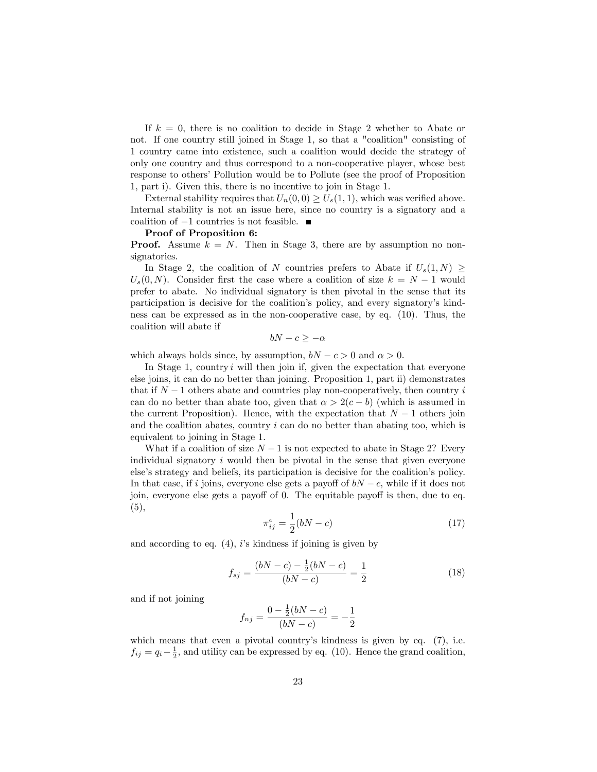If  $k = 0$ , there is no coalition to decide in Stage 2 whether to Abate or not. If one country still joined in Stage 1, so that a "coalition" consisting of 1 country came into existence, such a coalition would decide the strategy of only one country and thus correspond to a non-cooperative player, whose best response to others' Pollution would be to Pollute (see the proof of Proposition 1, part i). Given this, there is no incentive to join in Stage 1.

External stability requires that  $U_n(0,0) \geq U_s(1,1)$ , which was verified above. Internal stability is not an issue here, since no country is a signatory and a coalition of  $-1$  countries is not feasible.

#### Proof of Proposition 6:

**Proof.** Assume  $k = N$ . Then in Stage 3, there are by assumption no nonsignatories.

In Stage 2, the coalition of N countries prefers to Abate if  $U_s(1,N) \geq$  $U_s(0, N)$ . Consider first the case where a coalition of size  $k = N - 1$  would prefer to abate. No individual signatory is then pivotal in the sense that its participation is decisive for the coalitionís policy, and every signatoryís kindness can be expressed as in the non-cooperative case, by eq. (10). Thus, the coalition will abate if

$$
bN - c \ge -\alpha
$$

which always holds since, by assumption,  $bN - c > 0$  and  $\alpha > 0$ .

In Stage 1, country  $i$  will then join if, given the expectation that everyone else joins, it can do no better than joining. Proposition 1, part ii) demonstrates that if  $N-1$  others abate and countries play non-cooperatively, then country i can do no better than abate too, given that  $\alpha > 2(c - b)$  (which is assumed in the current Proposition). Hence, with the expectation that  $N-1$  others join and the coalition abates, country  $i$  can do no better than abating too, which is equivalent to joining in Stage 1.

What if a coalition of size  $N-1$  is not expected to abate in Stage 2? Every individual signatory i would then be pivotal in the sense that given everyone else's strategy and beliefs, its participation is decisive for the coalition's policy. In that case, if i joins, everyone else gets a payoff of  $bN - c$ , while if it does not join, everyone else gets a payoff of  $0$ . The equitable payoff is then, due to eq. (5),

$$
\pi_{ij}^e = \frac{1}{2}(bN - c)
$$
 (17)

and according to eq.  $(4)$ , is kindness if joining is given by

$$
f_{sj} = \frac{(bN - c) - \frac{1}{2}(bN - c)}{(bN - c)} = \frac{1}{2}
$$
\n(18)

and if not joining

$$
f_{nj} = \frac{0 - \frac{1}{2}(bN - c)}{(bN - c)} = -\frac{1}{2}
$$

which means that even a pivotal country's kindness is given by eq.  $(7)$ , i.e.  $f_{ij} = q_i - \frac{1}{2}$ , and utility can be expressed by eq. (10). Hence the grand coalition,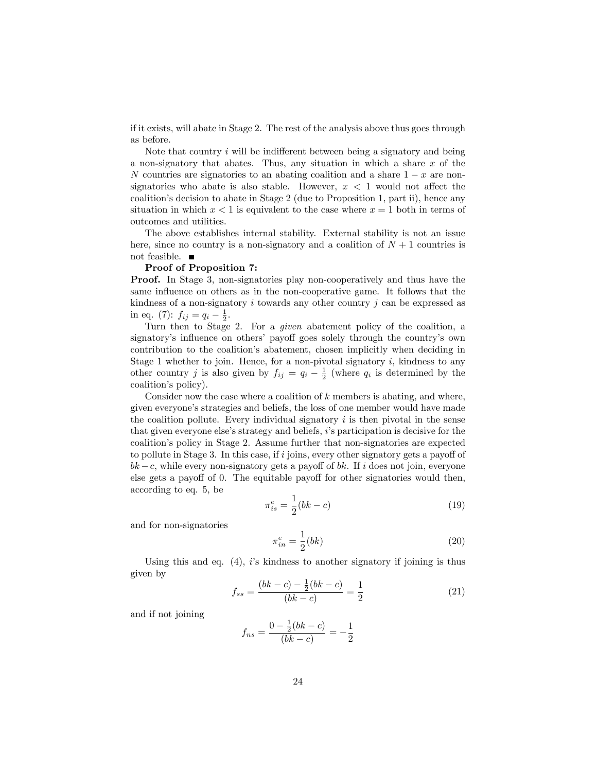if it exists, will abate in Stage 2. The rest of the analysis above thus goes through as before.

Note that country  $i$  will be indifferent between being a signatory and being a non-signatory that abates. Thus, any situation in which a share  $x$  of the N countries are signatories to an abating coalition and a share  $1 - x$  are nonsignatories who abate is also stable. However,  $x < 1$  would not affect the coalition's decision to abate in Stage  $2$  (due to Proposition 1, part ii), hence any situation in which  $x < 1$  is equivalent to the case where  $x = 1$  both in terms of outcomes and utilities.

The above establishes internal stability. External stability is not an issue here, since no country is a non-signatory and a coalition of  $N + 1$  countries is not feasible.

#### Proof of Proposition 7:

Proof. In Stage 3, non-signatories play non-cooperatively and thus have the same influence on others as in the non-cooperative game. It follows that the kindness of a non-signatory i towards any other country j can be expressed as in eq. (7):  $f_{ij} = q_i - \frac{1}{2}$ .

Turn then to Stage 2. For a given abatement policy of the coalition, a signatory's influence on others' payoff goes solely through the country's own contribution to the coalition's abatement, chosen implicitly when deciding in Stage 1 whether to join. Hence, for a non-pivotal signatory  $i$ , kindness to any other country j is also given by  $f_{ij} = q_i - \frac{1}{2}$  (where  $q_i$  is determined by the coalition's policy).

Consider now the case where a coalition of  $k$  members is abating, and where, given everyone's strategies and beliefs, the loss of one member would have made the coalition pollute. Every individual signatory  $i$  is then pivotal in the sense that given everyone else's strategy and beliefs, i's participation is decisive for the coalitionís policy in Stage 2. Assume further that non-signatories are expected to pollute in Stage 3. In this case, if  $i$  joins, every other signatory gets a payoff of  $bk - c$ , while every non-signatory gets a payoff of bk. If i does not join, everyone else gets a payoff of 0. The equitable payoff for other signatories would then, according to eq. 5, be

$$
\pi_{is}^e = \frac{1}{2}(bk - c) \tag{19}
$$

and for non-signatories

$$
\pi_{in}^e = \frac{1}{2}(bk) \tag{20}
$$

Using this and eq.  $(4)$ , is kindness to another signatory if joining is thus given by

$$
f_{ss} = \frac{(bk - c) - \frac{1}{2}(bk - c)}{(bk - c)} = \frac{1}{2}
$$
\n(21)

and if not joining

$$
f_{ns} = \frac{0 - \frac{1}{2}(bk - c)}{(bk - c)} = -\frac{1}{2}
$$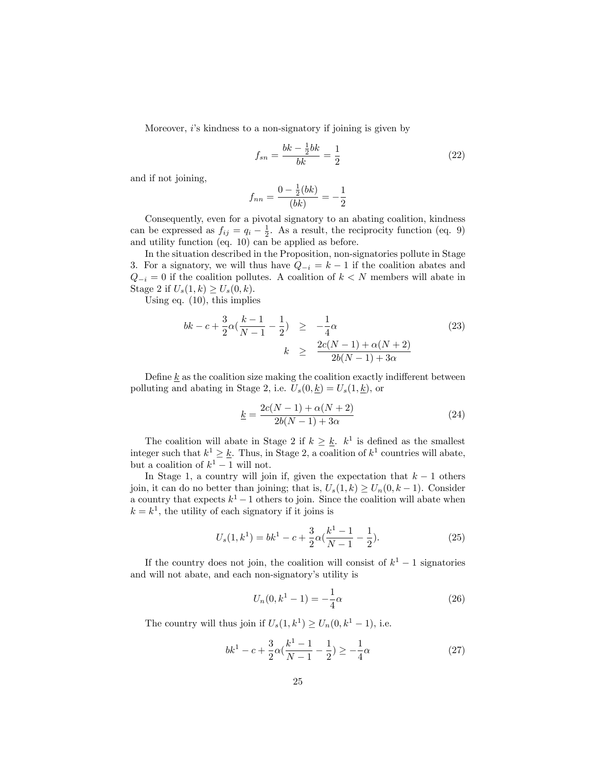Moreover,  $i$ 's kindness to a non-signatory if joining is given by

$$
f_{sn} = \frac{bk - \frac{1}{2}bk}{bk} = \frac{1}{2}
$$
 (22)

and if not joining,

$$
f_{nn} = \frac{0 - \frac{1}{2}(bk)}{(bk)} = -\frac{1}{2}
$$

Consequently, even for a pivotal signatory to an abating coalition, kindness can be expressed as  $f_{ij} = q_i - \frac{1}{2}$ . As a result, the reciprocity function (eq. 9) and utility function (eq. 10) can be applied as before.

In the situation described in the Proposition, non-signatories pollute in Stage 3. For a signatory, we will thus have  $Q_{-i} = k - 1$  if the coalition abates and  $Q_{-i} = 0$  if the coalition pollutes. A coalition of  $k \lt N$  members will abate in Stage 2 if  $U_s(1, k) \ge U_s(0, k)$ .

Using eq. (10), this implies

$$
bk - c + \frac{3}{2}\alpha(\frac{k-1}{N-1} - \frac{1}{2}) \ge -\frac{1}{4}\alpha
$$
\n
$$
k \ge \frac{2c(N-1) + \alpha(N+2)}{2b(N-1) + 3\alpha}
$$
\n(23)

Define  $k$  as the coalition size making the coalition exactly indifferent between polluting and abating in Stage 2, i.e.  $U_s(0, k) = U_s(1, k)$ , or

$$
\underline{k} = \frac{2c(N-1) + \alpha(N+2)}{2b(N-1) + 3\alpha} \tag{24}
$$

The coalition will abate in Stage 2 if  $k \geq \underline{k}$ .  $k^1$  is defined as the smallest integer such that  $k^1 \geq k$ . Thus, in Stage 2, a coalition of  $k^1$  countries will abate, but a coalition of  $k^1 - 1$  will not.

In Stage 1, a country will join if, given the expectation that  $k-1$  others join, it can do no better than joining; that is,  $U_s(1, k) \ge U_n(0, k-1)$ . Consider a country that expects  $k^1 - 1$  others to join. Since the coalition will abate when  $k = k<sup>1</sup>$ , the utility of each signatory if it joins is

$$
U_s(1, k^1) = bk^1 - c + \frac{3}{2}\alpha(\frac{k^1 - 1}{N - 1} - \frac{1}{2}).
$$
\n(25)

If the country does not join, the coalition will consist of  $k^1 - 1$  signatories and will not abate, and each non-signatory's utility is

$$
U_n(0, k^1 - 1) = -\frac{1}{4}\alpha \tag{26}
$$

The country will thus join if  $U_s(1, k^1) \ge U_n(0, k^1 - 1)$ , i.e.

$$
bk^1 - c + \frac{3}{2}\alpha\left(\frac{k^1 - 1}{N - 1} - \frac{1}{2}\right) \ge -\frac{1}{4}\alpha\tag{27}
$$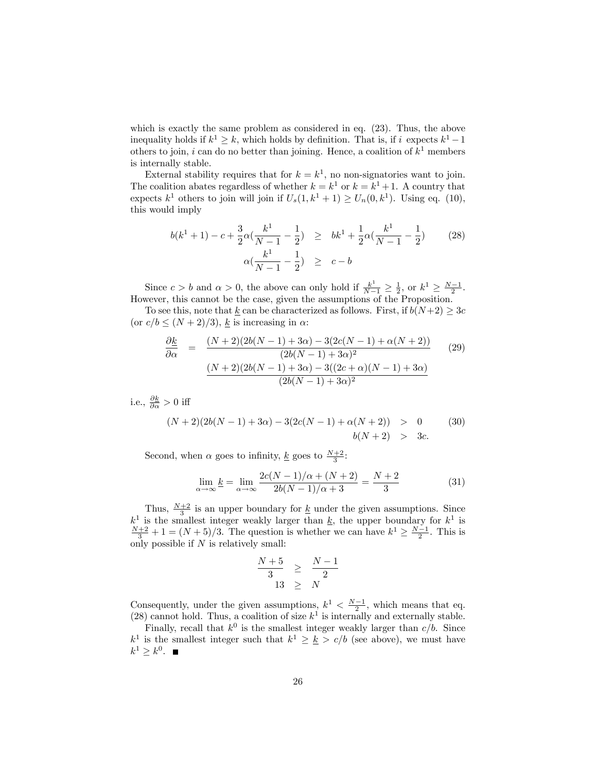which is exactly the same problem as considered in eq. (23). Thus, the above inequality holds if  $k^1 \geq k$ , which holds by definition. That is, if i expects  $k^1 - 1$ others to join, *i* can do no better than joining. Hence, a coalition of  $k^1$  members is internally stable.

External stability requires that for  $k = k^1$ , no non-signatories want to join. The coalition abates regardless of whether  $k = k^1$  or  $k = k^1 + 1$ . A country that expects  $k^1$  others to join will join if  $U_s(1, k^1 + 1) \ge U_n(0, k^1)$ . Using eq. (10), this would imply

$$
b(k^{1}+1) - c + \frac{3}{2}\alpha\left(\frac{k^{1}}{N-1} - \frac{1}{2}\right) \ge bk^{1} + \frac{1}{2}\alpha\left(\frac{k^{1}}{N-1} - \frac{1}{2}\right)
$$
 (28)  

$$
\alpha\left(\frac{k^{1}}{N-1} - \frac{1}{2}\right) \ge c - b
$$

Since  $c > b$  and  $\alpha > 0$ , the above can only hold if  $\frac{k^1}{N-1} \geq \frac{1}{2}$ , or  $k^1 \geq \frac{N-1}{2}$ . However, this cannot be the case, given the assumptions of the Proposition.

To see this, note that  $\underline{k}$  can be characterized as follows. First, if  $b(N+2) \geq 3c$ (or  $c/b \leq (N + 2)/3$ ), k is increasing in  $\alpha$ :

$$
\frac{\partial \underline{k}}{\partial \alpha} = \frac{(N+2)(2b(N-1)+3\alpha) - 3(2c(N-1)+\alpha(N+2))}{(2b(N-1)+3\alpha)^2} \tag{29}
$$
\n
$$
\frac{(N+2)(2b(N-1)+3\alpha) - 3((2c+\alpha)(N-1)+3\alpha)}{(2b(N-1)+3\alpha)^2}
$$

i.e.,  $\frac{\partial k}{\partial \alpha} > 0$  iff

$$
(N+2)(2b(N-1)+3\alpha) - 3(2c(N-1) + \alpha(N+2)) > 0
$$
 (30)  

$$
b(N+2) > 3c.
$$

Second, when  $\alpha$  goes to infinity, <u>k</u> goes to  $\frac{N+2}{3}$ :

$$
\lim_{\alpha \to \infty} \underline{k} = \lim_{\alpha \to \infty} \frac{2c(N-1)/\alpha + (N+2)}{2b(N-1)/\alpha + 3} = \frac{N+2}{3}
$$
(31)

Thus,  $\frac{N+2}{3}$  is an upper boundary for <u>k</u> under the given assumptions. Since  $k^1$  is the smallest integer weakly larger than  $\underline{k}$ , the upper boundary for  $k^1$  is  $\frac{N+2}{3} + 1 = (N+5)/3$ . The question is whether we can have  $k^1 \ge \frac{N-1}{2}$ . This is only possible if  $N$  is relatively small:

$$
\begin{array}{rcl} N+5 & > & N-1 \\ \hline 3 & \geq & N \\ 13 & \geq & N \end{array}
$$

Consequently, under the given assumptions,  $k^1 < \frac{N-1}{2}$ , which means that eq. (28) cannot hold. Thus, a coalition of size  $k^1$  is internally and externally stable.

Finally, recall that  $k^0$  is the smallest integer weakly larger than  $c/b$ . Since  $k^1$  is the smallest integer such that  $k^1 \geq k > c/b$  (see above), we must have  $k^1 \geq k^0$ .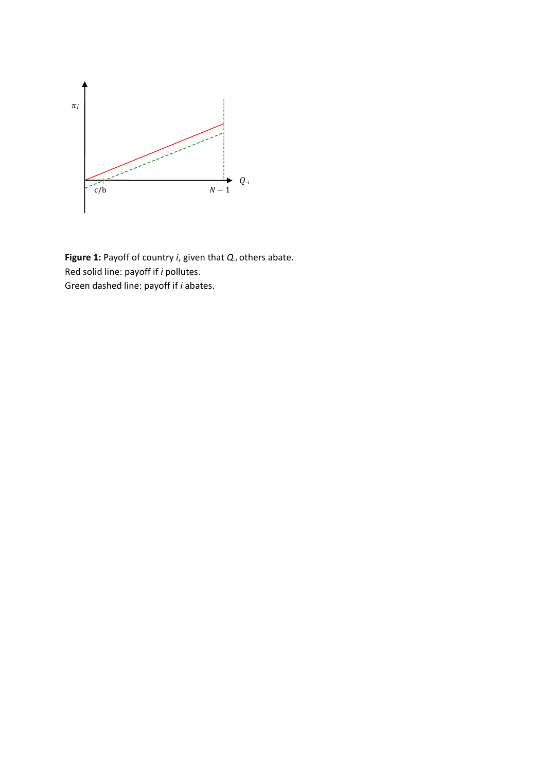

**Figure 1:** Payoff of country *i*, given that *Q-i* others abate. Red solid line: payoff if *i* pollutes. Green dashed line: payoff if *i* abates.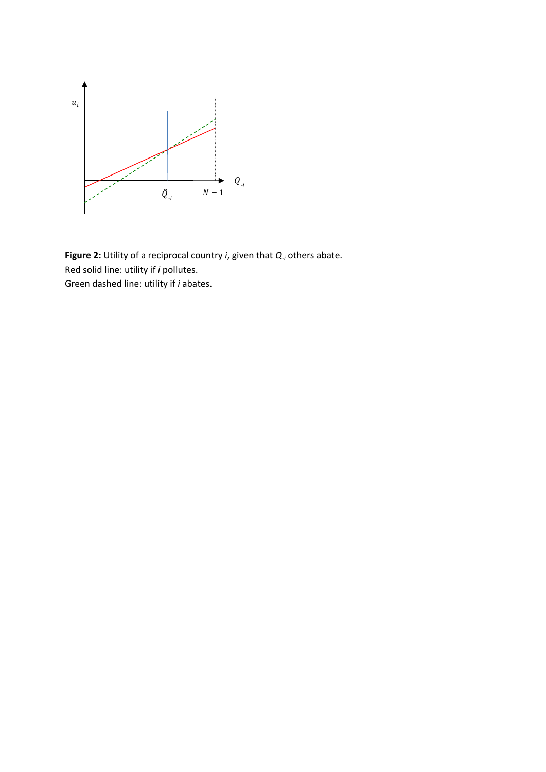

**Figure 2:** Utility of a reciprocal country *i*, given that *Q-i* others abate. Red solid line: utility if *i* pollutes. Green dashed line: utility if *i* abates.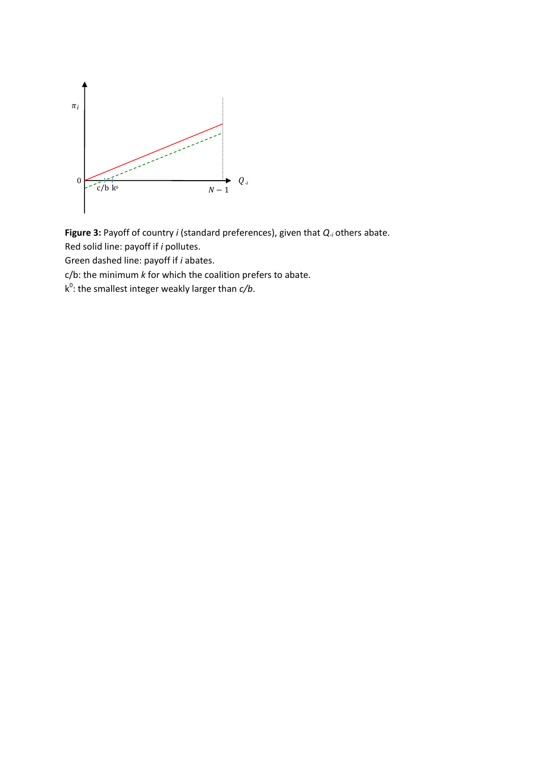

**Figure 3:** Payoff of country *i* (standard preferences), given that *Q-i* others abate. Red solid line: payoff if *i* pollutes.

Green dashed line: payoff if *i* abates.

c/b: the minimum *k* for which the coalition prefers to abate.

k 0 : the smallest integer weakly larger than *c/b*.